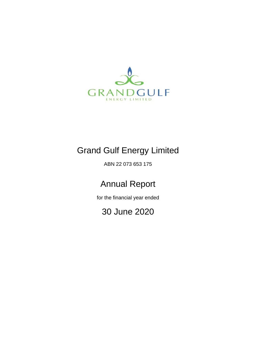

# Grand Gulf Energy Limited

ABN 22 073 653 175

# Annual Report

for the financial year ended

30 June 2020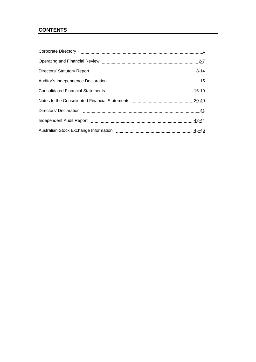# **CONTENTS**

| Corporate Directory manufactured and the Corporate Directory manufactured and the Corporate Directory                                                                                                                          |           |
|--------------------------------------------------------------------------------------------------------------------------------------------------------------------------------------------------------------------------------|-----------|
|                                                                                                                                                                                                                                | $2 - 7$   |
| Directors' Statutory Report [111] Marshall Marson Marson Marson Marson Marson Marson Marson Marson Marson Mars                                                                                                                 | $8 - 14$  |
|                                                                                                                                                                                                                                |           |
| Consolidated Financial Statements [111] Consolidated Financial Statements [11] Consolidated Financial Statements [11] The Consolidated Financial Statements [11] The Consolidated Financial Statements [11] The Consolidated F | $16 - 19$ |
|                                                                                                                                                                                                                                | 20-40     |
|                                                                                                                                                                                                                                |           |
| Independent Audit Report [10001] [10001] [10001] [10001] [10001] [10001] [10001] [10001] [10001] [10001] [1000                                                                                                                 | 42-44     |
|                                                                                                                                                                                                                                | 45-46     |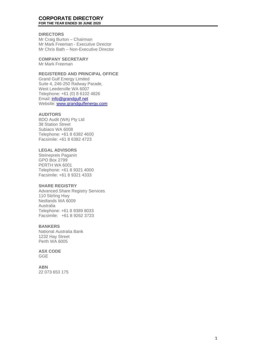#### **CORPORATE DIRECTORY FOR THE YEAR ENDED 30 JUNE 2020**

# **DIRECTORS**

Mr Craig Burton – Chairman Mr Mark Freeman - Executive Director Mr Chris Bath – Non - Executive Director

**COMPANY SECRETARY** Mr Mark Freeman

# **REGISTERED AND PRINCIPAL OFFICE**

Grand Gulf Energy Limited Suite 4, 246 -250 Railway Parade, West Leederville WA 6007 Telephone: +61 (0) 8 6102 4826 Email: [info@grandgulf.net](mailto:info@grandgulf.net) Website: [www.grandgulfenergy.com](http://www.grandgulfenergy.com/)

# **AUDITORS**

BDO Audit (WA) Pty Ltd 38 Station Street Subiaco WA 6008 Telephone: +61 8 6382 4600 Facsimile: +61 8 6382 4723

# **LEGAL ADVISORS**

Steinepreis Paganin GPO Box 2799 PERTH WA 6001 Telephone: +61 8 9321 4000 Facsimile: +61 8 9321 4333

# **SHARE REGISTRY**

Advanced Share Registry Services 110 Stirling Hwy Nedlands WA 6009 Australia Telephone: +61 8 9389 8033 Facsimile: +61 8 9262 3723

# **BANKERS**

National Australia Bank 1232 Hay Street Perth WA 6005

**ASX CODE** GGE

**ABN** 22 073 653 175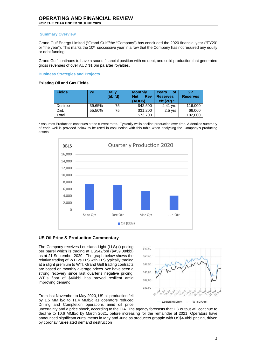#### **Summary Overview**

Grand Gulf Energy Limited ("Grand Gulf"/the "Company") has concluded the 2020 financial year ("FY20" or "the year"). This marks the 10<sup>th</sup> successive year in a row that the Company has not required any equity or debt funding.

Grand Gulf continues to have a sound financial position with no debt, and solid production that generated gross revenues of over AUD \$1.6m pa after royalties.

#### **Business Strategies and Projects**

#### **Existing Oil and Gas Fields**

| <b>Fields</b> | WI     | <b>Daily</b><br>(bbl/d) | <b>Monthly</b><br><b>Net</b><br><b>Rev</b><br>(AUD\$) | Years<br>оf<br><b>Reserves</b><br>Left $(2P)$ * | 2P<br><b>Reserves</b> |
|---------------|--------|-------------------------|-------------------------------------------------------|-------------------------------------------------|-----------------------|
| Desiree       | 39.65% | 75                      | \$42,500                                              | 4.41 vrs                                        | 116,000               |
| D&L           | 55.50% | 75                      | \$31,200                                              | $2.5$ vrs                                       | 66,000                |
| Total         |        |                         | \$73,700                                              |                                                 | 182,000               |

\* Assumes Production continues at the current rates. Typically wells decline production over time. A detailed summary of each well is provided below to be used in conjunction with this table when analysing the Company's producing assets.



# **US Oil Price & Production Commentary**

The Company receives Louisiana Light (LLS) () pricing per barrel which is trading at US\$42/bbl (\$A59.08/bbl) as at 21 September 2020. The graph below shows the relative trading of WTI vs LLS with LLS typically trading at a slight premium to WTI. Grand Gulf trading contracts are based on monthly average prices. We have seen a strong recovery since last quarter's negative pricing. WTI's floor of \$40/bbl has proved resilient amid improving demand.



From last November to May 2020, US oil production fell by 1.5 MM b/d to 11.4 MMb/d as operators reduced Drilling and Completion operations amid oil price

uncertainty and a price shock, according to the EIA. The agency forecasts that US output will continue to decline to 10.6 MMb/d by March 2021, before increasing for the remainder of 2021. Operators have announced significant curtailments in May and June as producers grapple with US\$40/bbl pricing, driven by coronavirus-related demand destruction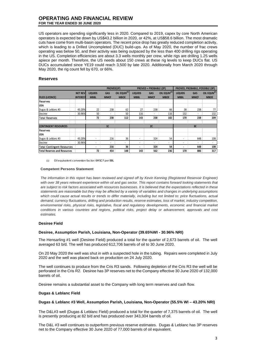US operators are spending significantly less in 2020. Compared to 2019, capex by core North American operators is expected be down by US\$43.2 billion in 2020, or 42%, at US\$58.6 billion. The most dramatic cuts have come from multi-basin operators. The recent price drop has greatly reduced completion activity, which is leading to a Drilled Uncompleted (DUC) build-ups. As of May 2020, the number of frac crews operating was below 50, and their activity was being outpaced by the less than 400 drilling rigs operating in the US. Completion efficiencies are about 3.3 wells monthly per crew, while rigs are drilling 1.25 wells apiece per month. Therefore, the US needs about 150 crews at these rig levels to keep DUCs flat. US DUCs accumulated since YE19 could reach 3,500 by late 2020. Additionally from March 2020 through May 2020, the rig count fell by 670, or 66%.

#### **Reserves**

|                                     |                 | PROVED(1P)     |             |                    | <b>PROVED + PROBABLE (2P)</b> |             | PROVED, PROBABLE, POSSIBLE (3P) |                          |                          |                          |
|-------------------------------------|-----------------|----------------|-------------|--------------------|-------------------------------|-------------|---------------------------------|--------------------------|--------------------------|--------------------------|
|                                     | <b>NET REV</b>  | <b>LIQUIDS</b> | <b>GAS</b>  | OIL EQUIV $^{(1)}$ | <b>LIQUIDS</b>                | GAS         | OIL EQUIV <sup>(1)</sup>        | <b>LIQUIDS</b>           | <b>GAS</b>               | OIL EQUIV <sup>(1)</sup> |
| <b>FILED (LICENCE)</b>              | <b>INTEREST</b> | <b>MBBL</b>    | <b>MMCF</b> | <b>MBOE</b>        | <b>MBBL</b>                   | <b>MMCF</b> | <b>MBOE</b>                     | <b>MBBL</b>              | <b>MMCF</b>              | <b>MBOE</b>              |
| Reserves                            |                 |                |             |                    |                               |             |                                 |                          |                          |                          |
| <b>USA</b>                          |                 |                |             |                    |                               |             |                                 |                          |                          |                          |
| Dugas & Leblanc #3                  | 43.20%          | 22             | 238         | 62                 | 27                            | 238         | 66                              | 38                       | 238                      | 77                       |
| Desiree                             | 30.96%          | 50             | ٠           | 50                 | 116                           | ٠           | 116                             | 132                      | $\overline{\phantom{a}}$ | 132                      |
| lTotal Reserves                     |                 | 72             | 238         | 112                | 143                           | 238         | 182                             | 170                      | 238                      | 209                      |
|                                     |                 |                |             |                    |                               |             |                                 |                          |                          |                          |
| <b>CONTINGENT RESOURCES</b>         |                 | 1C             |             | 2C                 |                               | 3C          |                                 |                          |                          |                          |
| Reserves                            |                 |                |             |                    |                               |             |                                 |                          |                          |                          |
| <b>USA</b>                          |                 |                |             |                    |                               |             |                                 |                          |                          |                          |
| Dugas & Leblanc #3                  | 43.20%          | ٠              | 216         | 36                 | ٠                             | 324         | 54                              | ٠                        | 648                      | 108                      |
| <b>Desiree</b>                      | 30.96%          | ۰              | ٠           | ٠                  | ۰                             | ٠           | ۰                               |                          | $\overline{\phantom{a}}$ | ۰.                       |
| Total Contingent Resources          |                 |                | 216         | 36                 | ٠                             | 324         | 54                              | $\overline{\phantom{a}}$ | 648                      | 108                      |
| <b>Total Reserves and Resources</b> |                 | 72             | 454         | 148                | 143                           | 562         | 236                             | 170                      | 886                      | 317                      |

(1) Oil equivalent conversion factor: 6MSCF per BBL

#### **Competent Persons Statement**

The information in this report has been reviewed and signed off by Kevin Kenning (Registered Reservoir Engineer) with over 38 years relevant experience within oil and gas sector. This report contains forward looking statements that *are subject to risk factors associated with resources businesses. It is believed that the expectations reflected in these statements are reasonable but they may be affected by a variety of variables and changes in underlying assumptions*  which could cause actual results or trends to differ materially, including but not limited to: price fluctuations, actual *demand, currency fluctuations, drilling and production results, reserve estimates, loss of market, industry competition,*  environmental risks, physical risks, legislative, fiscal and regulatory developments, economic and financial market *conditions in various countries and regions, political risks, project delay or advancement, approvals and cost estimates.*

#### **Desiree Field**

#### **Desiree, Assumption Parish, Louisiana, Non-Operator (39.65%WI - 30.96% NRI)**

The Hensarling #1 well (Desiree Field) produced a total for the quarter of 2,673 barrels of oil. The well averaged 63 b/d. The well has produced 612,706 barrels of oil to 30 June 2020.

On 20 May 2020 the well was shut in with a suspected hole in the tubing. Repairs were completed in July 2020 and the well was placed back on production on 24 July 2020.

The well continues to produce from the Cris R3 sands. Following depletion of the Cris R3 the well will be perforated in the Cris R2. Desiree has 3P reserves net to the Company effective 30 June 2020 of 132,000 barrels of oil.

Desiree remains a substantial asset to the Company with long term reserves and cash flow.

#### **Dugas & Leblanc Field**

#### **Dugas & Leblanc #3 Well, Assumption Parish, Louisiana, Non-Operator (55.5% WI – 43.20% NRI)**

The D&L#3 well (Dugas & Leblanc Field) produced a total for the quarter of 7,375 barrels of oil. The well is presently producing at 82 b/d and has produced over 343,304 barrels of oil.

The D&L #3 well continues to outperform previous reserve estimates. Dugas & Leblanc has 3P reserves net to the Company effective 30 June 2020 of 77,000 barrels of oil equivalent.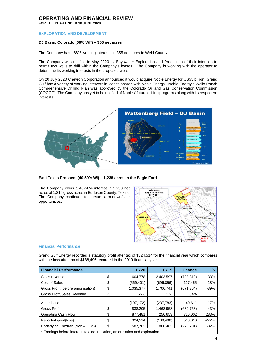## **EXPLORATION AND DEVELOPMENT**

# **DJ Basin, Colorado (66% WI\*) – 355 net acres**

The Company has ~66% working interests in 355 net acres in Weld County.

The Company was notified in May 2020 by Bayswater Exploration and Production of their intention to permit two wells to drill within the Company's leases. The Company is working with the operator to determine its working interests in the proposed wells.

On 20 July 2020 Chevron Corporation announced it would acquire Noble Energy for US\$5 billion. Grand Gulf has a variety of working interests in leases shared with Noble Energy. Noble Energy's Wells Ranch Comprehensive Drilling Plan was approved by the Colorado Oil and Gas Conservation Commission (COGCC). The Company has yet to be notified of Nobles' future drilling programs along with its respective interests.



**East Texas Prospect (40-50% WI) – 1,238 acres in the Eagle Ford**

The Company owns a 40-50% interest in 1,238 net acres of 1,319 gross acres in Burleson County, Texas. The Company continues to pursue farm-down/sale opportunities.



#### **Financial Performance**

Grand Gulf Energy recorded a statutory profit after tax of \$324,514 for the financial year which compares with the loss after tax of \$188,496 recorded in the 2019 financial year.

| <b>Financial Performance</b>                                                |    | <b>FY20</b> | <b>FY19</b> | Change    | $\%$    |
|-----------------------------------------------------------------------------|----|-------------|-------------|-----------|---------|
| Sales revenue                                                               | \$ | 1,604,778   | 2,403,597   | (798,819) | $-33%$  |
| Cost of Sales                                                               | \$ | (569, 401)  | (696,856)   | 127,455   | $-18%$  |
| Gross Profit (before amortisation)                                          | \$ | 1.035.377   | 1.706.741   | (671.364) | $-39%$  |
| <b>Gross Profit/Sales Revenue</b>                                           | %  | 65%         | 71%         | 84%       |         |
| Amortisation                                                                |    | (197, 172)  | (237, 783)  | 40,611    | $-17%$  |
| <b>Gross Profit</b>                                                         | \$ | 838.205     | 1.468.958   | (630.753) | $-43%$  |
| <b>Operating Cash Flow</b>                                                  | \$ | 877,481     | 256.653     | 726.002   | 283%    |
| Reported gain/(loss)                                                        | \$ | 324,514     | (188,496)   | 513,010   | $-272%$ |
| Underlying Ebitdae* (Non - IFRS)                                            | \$ | 587,762     | 866,463     | (278,701) | $-32%$  |
| * Earnings before interest, tax, depreciation, amortisation and exploration |    |             |             |           |         |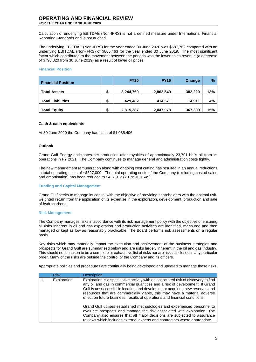Calculation of underlying EBITDAE (Non-IFRS) is not a defined measure under International Financial Reporting Standards and is not audited.

The underlying EBITDAE (Non-IFRS) for the year ended 30 June 2020 was \$587,762 compared with an underlying EBITDAE (Non-IFRS) of \$866,463 for the year ended 30 June 2019. The most significant factor which contributed to the movement between the periods was the lower sales revenue (a decrease of \$798,820 from 30 June 2019) as a result of lower oil prices.

# **Financial Position**

| <b>Financial Position</b> |        | <b>FY20</b> | <b>FY19</b> | Change  | $\frac{9}{6}$ |
|---------------------------|--------|-------------|-------------|---------|---------------|
| <b>Total Assets</b>       | S      | 3,244,769   | 2,862,549   | 382,220 | 13%           |
| <b>Total Liabilities</b>  | ¢<br>æ | 429,482     | 414,571     | 14.911  | 4%            |
| <b>Total Equity</b>       | \$     | 2,815,287   | 2,447,978   | 367,309 | 15%           |

#### **Cash & cash equivalents**

At 30 June 2020 the Company had cash of \$1,035,406.

#### **Outlook**

Grand Gulf Energy anticipates net production after royalties of approximately 23,701 bbl's oil from its operations in FY 2021. The Company continues to manage general and administration costs tightly.

The new management remuneration along with ongoing cost cutting has resulted in an annual reductions in total operating costs of ~\$327,000. The total operating costs of the Company (excluding cost of sales and amortisation) has been reduced to \$432,912 (2019: 760,649).

#### **Funding and Capital Management**

Grand Gulf seeks to manage its capital with the objective of providing shareholders with the optimal riskweighted return from the application of its expertise in the exploration, development, production and sale of hydrocarbons.

#### **Risk Management**

The Company manages risks in accordance with its risk management policy with the objective of ensuring all risks inherent in oil and gas exploration and production activities are identified, measured and then managed or kept as low as reasonably practicable. The Board performs risk assessments on a regular basis.

Key risks which may materially impact the execution and achievement of the business strategies and prospects for Grand Gulf are summarised below and are risks largely inherent in the oil and gas industry. This should not be taken to be a complete or exhaustive list of risks nor are risks disclosed in any particular order. Many of the risks are outside the control of the Company and its officers.

Appropriate policies and procedures are continually being developed and updated to manage these risks.

| <b>Risk</b> | <b>Description</b>                                                                                                                                                                                                                                                                                                                                                                                            |
|-------------|---------------------------------------------------------------------------------------------------------------------------------------------------------------------------------------------------------------------------------------------------------------------------------------------------------------------------------------------------------------------------------------------------------------|
| Exploration | Exploration is a speculative activity with an associated risk of discovery to find<br>any oil and gas in commercial quantities and a risk of development. If Grand<br>Gulf is unsuccessful in locating and developing or acquiring new reserves and<br>resources that are commercially viable, this may have a material adverse<br>effect on future business, results of operations and financial conditions. |
|             | Grand Gulf utilises established methodologies and experienced personnel to<br>evaluate prospects and manage the risk associated with exploration. The<br>Company also ensures that all major decisions are subjected to assurance<br>reviews which includes external experts and contractors where appropriate.                                                                                               |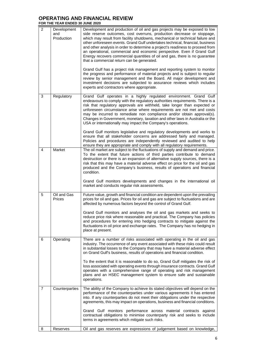|                |                                  | L I LAN LIVULU JV                                                                                                                                                                                                                                                                                                                                                                                                                                                                                                                                                                                                                                                                                                                                                                                                                                                                                                                                                         |
|----------------|----------------------------------|---------------------------------------------------------------------------------------------------------------------------------------------------------------------------------------------------------------------------------------------------------------------------------------------------------------------------------------------------------------------------------------------------------------------------------------------------------------------------------------------------------------------------------------------------------------------------------------------------------------------------------------------------------------------------------------------------------------------------------------------------------------------------------------------------------------------------------------------------------------------------------------------------------------------------------------------------------------------------|
| 2              | Development<br>and<br>Production | Development and production of oil and gas projects may be exposed to low<br>side reserve outcomes, cost overruns, production decrease or stoppage,<br>which may result from facility shutdowns, mechanical or technical failure and<br>other unforeseen events. Grand Gulf undertakes technical, financial, business<br>and other analysis in order to determine a project's readiness to proceed from<br>an operational, commercial and economic perspective. Even if Grand Gulf<br>Energy recovers commercial quantities of oil and gas, there is no guarantee<br>that a commercial return can be generated.<br>Grand Gulf has a project risk management and reporting system to monitor<br>the progress and performance of material projects and is subject to regular<br>review by senior management and the Board. All major development and<br>investment decisions are subjected to assurance reviews which includes<br>experts and contractors where appropriate. |
| 3              | Regulatory                       | Grand Gulf operates in a highly regulated environment. Grand Gulf<br>endeavours to comply with the regulatory authorities requirements. There is a<br>risk that regulatory approvals are withheld, take longer than expected or<br>unforeseen circumstance arise where requirements are not met and costs<br>may be incurred to remediate non compliance and/or obtain approval(s).<br>Changes in Government, monetary, taxation and other laws in Australia or the<br>USA or internationally may impact the Company's operations.<br>Grand Gulf monitors legislative and regulatory developments and works to<br>ensure that all stakeholder concerns are addressed fairly and managed.<br>Policies and procedures are independently reviewed and audited to help<br>ensure they are appropriate and comply with all regulatory requirements.                                                                                                                            |
| 4              | Market                           | The oil market are subject to the fluctuations of supply and demand and price.<br>To the extent that future actions of third parties contribute to demand<br>destruction or there is an expansion of alternative supply sources, there is a<br>risk that this may have a material adverse effect on price for the oil and gas<br>produced and the Company's business, results of operations and financial<br>condition.<br>Grand Gulf monitors developments and changes in the international oil<br>market and conducts regular risk assessments.                                                                                                                                                                                                                                                                                                                                                                                                                         |
| 5              | Oil and Gas<br>Prices            | Future value, growth and financial condition are dependent upon the prevailing<br>prices for oil and gas. Prices for oil and gas are subject to fluctuations and are<br>affected by numerous factors beyond the control of Grand Gulf.<br>Grand Gulf monitors and analyses the oil and gas markets and seeks to<br>reduce price risk where reasonable and practical. The Company has policies<br>and procedures for entering into hedging contracts to mitigate against the<br>fluctuations in oil price and exchange rates. The Company has no hedging in<br>place at present.                                                                                                                                                                                                                                                                                                                                                                                           |
| 6              | Operating                        | There are a number of risks associated with operating in the oil and gas<br>industry. The occurrence of any event associated with these risks could result<br>in substantial losses to the Company that may have a material adverse effect<br>on Grand Gulf's business, results of operations and financial condition.<br>To the extent that it is reasonable to do so, Grand Gulf mitigates the risk of<br>loss associated with operating events through insurance contracts. Grand Gulf<br>operates with a comprehensive range of operating and risk management<br>plans and an HSEC management system to ensure safe and sustainable<br>operations.                                                                                                                                                                                                                                                                                                                    |
| $\overline{7}$ | Counterparties                   | The ability of the Company to achieve its stated objectives will depend on the<br>performance of the counterparties under various agreements it has entered<br>into. If any counterparties do not meet their obligations under the respective<br>agreements, this may impact on operations, business and financial conditions.<br>Grand Gulf monitors performance across material contracts against<br>contractual obligations to minimise counterparty risk and seeks to include<br>terms in agreements which mitigate such risks.                                                                                                                                                                                                                                                                                                                                                                                                                                       |
| 8              | Reserves                         | Oil and gas reserves are expressions of judgement based on knowledge,                                                                                                                                                                                                                                                                                                                                                                                                                                                                                                                                                                                                                                                                                                                                                                                                                                                                                                     |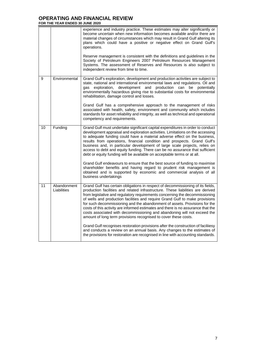|                 |                            | experience and industry practice. These estimates may alter significantly or<br>become uncertain when new information becomes available and/or there are<br>material changes of circumstances which may result in Grand Gulf altering its<br>plans which could have a positive or negative effect on Grand Gulf's<br>operations.<br>Reserve management is consistent with the definitions and guidelines in the<br>Society of Petroleum Engineers 2007 Petroleum Resources Management<br>Systems. The assessment of Reserves and Resources is also subject to<br>independent review from time to time.                                                                                                                                                                                                                                                                                                   |
|-----------------|----------------------------|----------------------------------------------------------------------------------------------------------------------------------------------------------------------------------------------------------------------------------------------------------------------------------------------------------------------------------------------------------------------------------------------------------------------------------------------------------------------------------------------------------------------------------------------------------------------------------------------------------------------------------------------------------------------------------------------------------------------------------------------------------------------------------------------------------------------------------------------------------------------------------------------------------|
| 9               | Environmental              | Grand Gulf's exploration, development and production activities are subject to<br>state, national and international environmental laws and regulations. Oil and<br>exploration, development and production can<br>potentially<br>aas<br>be<br>environmentally hazardous giving rise to substantial costs for environmental<br>rehabilitation, damage control and losses.<br>Grand Gulf has a comprehensive approach to the management of risks<br>associated with health, safety, environment and community which includes<br>standards for asset reliability and integrity, as well as technical and operational<br>competency and requirements.                                                                                                                                                                                                                                                        |
| 10              | Funding                    | Grand Gulf must undertake significant capital expenditures in order to conduct<br>development appraisal and exploration activities. Limitations on the accessing<br>to adequate funding could have a material adverse effect on the business,<br>results from operations, financial condition and prospects. Grand Gulf's<br>business and, in particular development of large scale projects, relies on<br>access to debt and equity funding. There can be no assurance that sufficient<br>debt or equity funding will be available on acceptable terms or at all.<br>Grand Gulf endeavours to ensure that the best source of funding to maximise<br>shareholder benefits and having regard to prudent risk management is<br>obtained and is supported by economic and commercial analysis of all<br>business undertakings                                                                               |
| $\overline{11}$ | Abandonment<br>Liabilities | Grand Gulf has certain obligations in respect of decommissioning of its fields,<br>production facilities and related infrastructure. These liabilities are derived<br>from legislative and regulatory requirements concerning the decommissioning<br>of wells and production facilities and require Grand Gulf to make provisions<br>for such decommissioning and the abandonment of assets. Provisions for the<br>costs of this activity are informed estimates and there is no assurance that the<br>costs associated with decommissioning and abandoning will not exceed the<br>amount of long term provisions recognised to cover these costs.<br>Grand Gulf recognises restoration provisions after the construction of faciliiesy<br>and conducts a review on an annual basis. Any changes to the estimates of<br>the provisions for restoration are recognised in line with accounting standards. |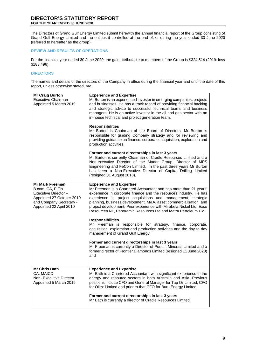# **DIRECTOR'S STATUTORY REPORT FOR THE YEAR ENDED 30 JUNE 2020**

The Directors of Grand Gulf Energy Limited submit herewith the annual financial report of the Group consisting of Grand Gulf Energy Limited and the entities it controlled at the end of, or during the year ended 30 June 2020 (referred to hereafter as the group).

# **REVIEW AND RESULTS OF OPERATIONS**

For the financial year ended 30 June 2020, the gain attributable to members of the Group is \$324,514 (2019: loss \$188,496).

# **DIRECTORS**

The names and details of the directors of the Company in office during the financial year and until the date of this report, unless otherwise stated, are:

| <b>Mr Craig Burton</b><br><b>Executive Chairman</b><br>Appointed 5 March 2019                                                                        | <b>Experience and Expertise</b><br>Mr Burton is an experienced investor in emerging companies, projects<br>and businesses. He has a track record of providing financial backing<br>and strategic advice to successful technical teams and business<br>managers. He is an active investor in the oil and gas sector with an<br>in-house technical and project generation team.<br><b>Responsibilities</b><br>Mr Burton is Chairman of the Board of Directors. Mr Burton is<br>responsible for guiding Company strategy and for reviewing and<br>providing guidance on finance, corporate, acquisition, exploration and<br>production activities. |
|------------------------------------------------------------------------------------------------------------------------------------------------------|-------------------------------------------------------------------------------------------------------------------------------------------------------------------------------------------------------------------------------------------------------------------------------------------------------------------------------------------------------------------------------------------------------------------------------------------------------------------------------------------------------------------------------------------------------------------------------------------------------------------------------------------------|
|                                                                                                                                                      | Former and current directorships in last 3 years<br>Mr Burton is currently Chairman of Cradle Resources Limited and a<br>Non-executive Director of the Mader Group, Director of MPS<br>Engineering and FeCon Limited. In the past three years Mr Burton<br>has been a Non-Executive Director of Capital Drilling Limited<br>(resigned 31 August 2018).                                                                                                                                                                                                                                                                                          |
| <b>Mr Mark Freeman</b><br>B.com, CA, F.Fin<br>Executive Director-<br>Appointed 27 October 2010<br>and Company Secretary -<br>Appointed 22 April 2010 | <b>Experience and Expertise</b><br>Mr Freeman is a Chartered Accountant and has more than 21 years'<br>experience in corporate finance and the resources industry. He has<br>experience in project acquisitions and management, strategic<br>planning, business development, M&A, asset commercialisation, and<br>project development. Prior experience with Mirabela Nickel Ltd, Exco<br>Resources NL, Panoramic Resources Ltd and Matra Petroleum Plc.                                                                                                                                                                                        |
|                                                                                                                                                      | <b>Responsibilities</b><br>Mr Freeman is responsible for strategy, finance, corporate,<br>acquisition, exploration and production activities and the day to day<br>management of Grand Gulf Energy.                                                                                                                                                                                                                                                                                                                                                                                                                                             |
|                                                                                                                                                      | Former and current directorships in last 3 years<br>Mr Freeman is currently a Director of Pursuit Minerals Limited and a<br>former director of Frontier Diamonds Limited (resigned 11 June 2020)<br>and                                                                                                                                                                                                                                                                                                                                                                                                                                         |
| <b>Mr Chris Bath</b><br>CA, MAICD<br>Non-Executive Director<br>Appointed 5 March 2019                                                                | <b>Experience and Expertise</b><br>Mr Bath is a Chartered Accountant with significant experience in the<br>energy and resource sectors in both Australia and Asia. Previous<br>positions include CFO and General Manager for Tap Oil Limited, CFO<br>for Oilex Limited and prior to that CFO for Buru Energy Limited.                                                                                                                                                                                                                                                                                                                           |
|                                                                                                                                                      | Former and current directorships in last 3 years<br>Mr Bath is currently a director of Cradle Resources Limited.                                                                                                                                                                                                                                                                                                                                                                                                                                                                                                                                |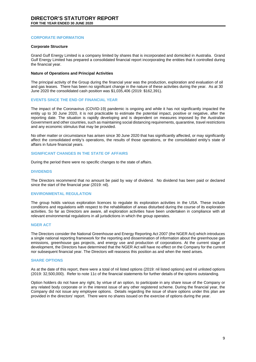#### **CORPORATE INFORMATION**

#### **Corporate Structure**

Grand Gulf Energy Limited is a company limited by shares that is incorporated and domiciled in Australia. Grand Gulf Energy Limited has prepared a consolidated financial report incorporating the entities that it controlled during the financial year.

#### **Nature of Operations and Principal Activities**

The principal activity of the Group during the financial year was the production, exploration and evaluation of oil and gas leases. There has been no significant change in the nature of these activities during the year. As at 30 June 2020 the consolidated cash position was \$1,035,406 (2019: \$162,391).

#### **EVENTS SINCE THE END OF FINANCIAL YEAR**

The impact of the Coronavirus (COVID-19) pandemic is ongoing and while it has not significantly impacted the entity up to 30 June 2020, it is not practicable to estimate the potential impact, positive or negative, after the reporting date. The situation is rapidly developing and is dependent on measures imposed by the Australian Government and other countries, such as maintaining social distancing requirements, quarantine, travel restrictions and any economic stimulus that may be provided.

No other matter or circumstance has arisen since 30 June 2020 that has significantly affected, or may significantly affect the consolidated entity's operations, the results of those operations, or the consolidated entity's state of affairs in future financial years.

#### **SIGNIFICANT CHANGES IN THE STATE OF AFFAIRS**

During the period there were no specific changes to the state of affairs.

#### **DIVIDENDS**

The Directors recommend that no amount be paid by way of dividend. No dividend has been paid or declared since the start of the financial year (2019: nil).

## **ENVIRONMENTAL REGULATION**

The group holds various exploration licences to regulate its exploration activities in the USA. These include conditions and regulations with respect to the rehabilitation of areas disturbed during the course of its exploration activities. So far as Directors are aware, all exploration activities have been undertaken in compliance with all relevant environmental regulations in all jurisdictions in which the group operates.

#### **NGER ACT**

The Directors consider the National Greenhouse and Energy Reporting Act 2007 (the NGER Act) which introduces a single national reporting framework for the reporting and dissemination of information about the greenhouse gas emissions, greenhouse gas projects, and energy use and production of corporations. At the current stage of development, the Directors have determined that the NGER Act will have no effect on the Company for the current nor subsequent financial year. The Directors will reassess this position as and when the need arises.

#### **SHARE OPTIONS**

As at the date of this report, there were a total of nil listed options (2019: nil listed options) and nil unlisted options (2019: 32,500,000). Refer to note 11c of the financial statements for further details of the options outstanding.

Option holders do not have any right, by virtue of an option, to participate in any share issue of the Company or any related body corporate or in the interest issue of any other registered scheme. During the financial year, the Company did not issue any employee options. Details regarding the issue of share options under this plan are provided in the directors' report. There were no shares issued on the exercise of options during the year.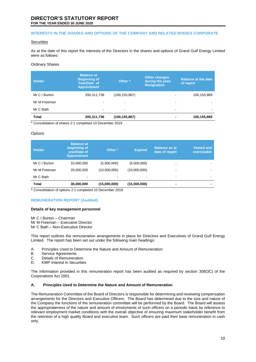#### **INTERESTS IN THE SHARES AND OPTIONS OF THE COMPANY AND RELATED BODIES CORPORATE**

#### **Securities**

As at the date of this report the interests of the Directors in the shares and options of Grand Gulf Energy Limited were as follows:

#### Ordinary Shares

| <b>Holder</b> | <b>Balance at</b><br><b>Beginning of</b><br>Year/Date of<br><b>Appointment</b> | Other *         | <b>Other changes</b><br>during the year/<br><b>Resignation</b> | <b>Balance at the date</b><br>of report |
|---------------|--------------------------------------------------------------------------------|-----------------|----------------------------------------------------------------|-----------------------------------------|
| Mr C I Burton | 200,311,736                                                                    | (100, 155, 867) | -                                                              | 100,155,869                             |
| Mr M Freeman  | ۰                                                                              |                 |                                                                |                                         |
| Mr C Bath     | $\blacksquare$                                                                 | ۰               | $\overline{\phantom{a}}$                                       | $\blacksquare$                          |
| <b>Total</b>  | 200,311,736                                                                    | (100,155,867)   |                                                                | 100,155,869                             |

\* Consolidation of shares 2:1 completed 10 December 2019

#### **Options**

| <b>Holder</b> | <b>Balance at</b><br>beginning of<br>year/Date of<br><b>Appointment</b> | Other *                  | <b>Expired</b> | <b>Balance as at</b><br>date of report | <b>Vested and</b><br>exercisable |
|---------------|-------------------------------------------------------------------------|--------------------------|----------------|----------------------------------------|----------------------------------|
| Mr C I Burton | 10,000,000                                                              | (5,000,000)              | (5,000,000)    |                                        |                                  |
| Mr M Freeman  | 20,000,000                                                              | (10,000,000)             | (10,000,000)   | ٠                                      | ۰                                |
| Mr C Bath     | ۰                                                                       | $\overline{\phantom{0}}$ |                | ۰.                                     | $\blacksquare$                   |
| Total         | 30,000,000                                                              | (15,000,000)             | (15,000,000)   | -                                      |                                  |

\* Consolidation of options 2:1 completed 10 December 2019

#### **REMUNERATION REPORT (Audited)**

#### **Details of key management personnel**

Mr C I Burton – Chairman Mr M Freeman – Executive Director Mr C Bath – Non-Executive Director

This report outlines the remuneration arrangements in place for Directors and Executives of Grand Gulf Energy Limited. The report has been set out under the following main headings:

- A. Principles Used to Determine the Nature and Amount of Remuneration<br>B. Service Agreements
- B. Service Agreements<br>C. Details of Remunera
- C. Details of Remuneration<br>D. KMP Interest in Securitie
- KMP Interest in Securities

The information provided in this remuneration report has been audited as required by section 308(3C) of the Corporations Act 2001.

#### **A. Principles Used to Determine the Nature and Amount of Remuneration**

The Remuneration Committee of the Board of Directors is responsible for determining and reviewing compensation arrangements for the Directors and Executive Officers. The Board has determined due to the size and nature of the Company the functions of the remuneration committee will be performed by the Board. The Board will assess the appropriateness of the nature and amount of emoluments of such officers on a periodic basis by reference to relevant employment market conditions with the overall objective of ensuring maximum stakeholder benefit from the retention of a high quality Board and executive team. Such officers are paid their base remuneration in cash only.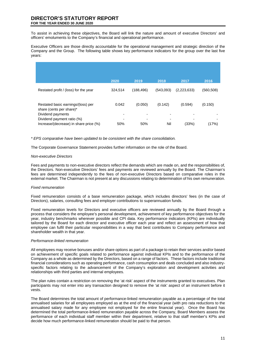To assist in achieving these objectives, the Board will link the nature and amount of executive Directors' and officers' emoluments to the Company's financial and operational performance.

Executive Officers are those directly accountable for the operational management and strategic direction of the Company and the Group. The following table shows key performance indicators for the group over the last five years:

|                                        | 2020    | 2019                     | 2018      | 2017        | 2016       |
|----------------------------------------|---------|--------------------------|-----------|-------------|------------|
|                                        |         |                          |           |             |            |
| Restated profit / (loss) for the year  | 324.514 | (188, 496)               | (543,093) | (2,223,633) | (560, 508) |
|                                        |         |                          |           |             |            |
|                                        |         |                          |           |             |            |
|                                        |         |                          |           |             |            |
| Restated basic earnings/(loss) per     | 0.042   | (0.050)                  | (0.142)   | (0.594)     | (0.150)    |
| share (cents per share)*               |         |                          |           |             |            |
| Dividend payments                      |         | $\overline{\phantom{0}}$ |           |             |            |
| Dividend payment ratio (%)             |         | ۰                        |           |             |            |
|                                        |         |                          |           |             |            |
| Increase/(decrease) in share price (%) | 50%     | 50%                      | Nil       | (33%)       | (17%)      |

*\* EPS comparative have been updated to be consistent with the share consolidation.* 

The Corporate Governance Statement provides further information on the role of the Board.

#### *Non-executive Directors*

Fees and payments to non-executive directors reflect the demands which are made on, and the responsibilities of, the Directors. Non-executive Directors' fees and payments are reviewed annually by the Board. The Chairman's fees are determined independently to the fees of non-executive Directors based on comparative roles in the external market. The Chairman is not present at any discussions relating to determination of his own remuneration.

#### *Fixed remuneration*

Fixed remuneration consists of a base remuneration package, which includes directors' fees (in the case of Directors), salaries, consulting fees and employer contributions to superannuation funds.

Fixed remuneration levels for Directors and executive officers are reviewed annually by the Board through a process that considers the employee's personal development, achievement of key performance objectives for the year, industry benchmarks wherever possible and CPI data. Key performance indicators (KPIs) are individually tailored by the Board for each director and executive officer each year and reflect an assessment of how that employee can fulfil their particular responsibilities in a way that best contributes to Company performance and shareholder wealth in that year.

#### *Performance-linked remuneration*

All employees may receive bonuses and/or share options as part of a package to retain their services and/or based on achievement of specific goals related to performance against individual KPIs and to the performance of the Company as a whole as determined by the Directors, based on a range of factors. These factors include traditional financial considerations such as operating performance, cash consumption and deals concluded and also industryspecific factors relating to the advancement of the Company's exploration and development activities and relationships with third parties and internal employees.

The plan rules contain a restriction on removing the 'at risk' aspect of the instruments granted to executives. Plan participants may not enter into any transaction designed to remove the 'at risk' aspect of an instrument before it vests.

The Board determines the total amount of performance-linked remuneration payable as a percentage of the total annualised salaries for all employees employed as at the end of the financial year (with pro rata reductions to the annualised salary made for any employee not employed for the entire financial year). Once the Board has determined the total performance-linked remuneration payable across the Company, Board Members assess the performance of each individual staff member within their department, relative to that staff member's KPIs and decide how much performance-linked remuneration should be paid to that person.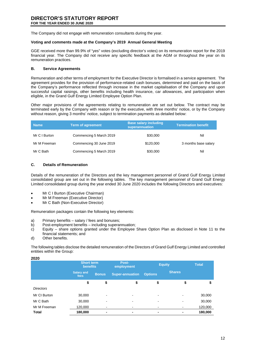The Company did not engage with remuneration consultants during the year.

#### **Voting and comments made at the Company's 2019 Annual General Meeting**

GGE received more than 99.9% of "yes" votes (excluding director's votes) on its remuneration report for the 2019 financial year. The Company did not receive any specific feedback at the AGM or throughout the year on its remuneration practices.

# **B. Service Agreements**

Remuneration and other terms of employment for the Executive Director is formalised in a service agreement. The agreement provides for the provision of performance-related cash bonuses, determined and paid on the basis of the Company's performance reflected through increase in the market capitalisation of the Company and upon successful capital raisings, other benefits including health insurance, car allowances, and participation when eligible, in the Grand Gulf Energy Limited Employee Option Plan.

Other major provisions of the agreements relating to remuneration are set out below. The contract may be terminated early by the Company with reason or by the executive, with three months' notice, or by the Company without reason, giving 3 months' notice, subject to termination payments as detailed below:

| <b>Name</b>   | <b>Term of agreement</b> | <b>Base salary including</b><br>superannuation | <b>Termination benefit</b> |
|---------------|--------------------------|------------------------------------------------|----------------------------|
| Mr C I Burton | Commencing 5 March 2019  | \$30,000                                       | Nil                        |
| Mr M Freeman  | Commencing 30 June 2019  | \$120,000                                      | 3 months base salary       |
| Mr C Bath     | Commencing 5 March 2019  | \$30,000                                       | Nil                        |

# **C. Details of Remuneration**

Details of the remuneration of the Directors and the key management personnel of Grand Gulf Energy Limited consolidated group are set out in the following tables. The key management personnel of Grand Gulf Energy Limited consolidated group during the year ended 30 June 2020 includes the following Directors and executives:

- Mr C I Burton (Executive Chairman)
- Mr M Freeman (Executive Director)
- Mr C Bath (Non-Executive Director)

Remuneration packages contain the following key elements:

- a) Primary benefits salary / fees and bonuses;<br>b) Post-employment benefits including superar
- b) Post-employment benefits including superannuation;<br>c) Equity share options granted under the Employee
- Equity share options granted under the Employee Share Option Plan as disclosed in Note 11 to the financial statements; and
- d) Other benefits.

**2020**

The following tables disclose the detailed remuneration of the Directors of Grand Gulf Energy Limited and controlled entities within the Group:

| ZUZU             |                                      |                          |                        |                |               |              |
|------------------|--------------------------------------|--------------------------|------------------------|----------------|---------------|--------------|
|                  | <b>Short term</b><br><b>benefits</b> |                          | Post-<br>employment    | <b>Equity</b>  |               | <b>Total</b> |
|                  | <b>Salary and</b><br><b>fees</b>     | <b>Bonus</b>             | <b>Super-annuation</b> | <b>Options</b> | <b>Shares</b> |              |
|                  | \$                                   | \$                       | \$                     | \$             | \$            | \$           |
| <b>Directors</b> |                                      |                          |                        |                |               |              |
| Mr CI Burton     | 30,000                               | -                        | -                      | -              |               | 30,000       |
| Mr C Bath        | 30,000                               | $\overline{\phantom{a}}$ | -                      | $\,$           | -             | 30,000       |
| Mr M Freeman     | 120,000                              |                          |                        |                |               | 120,000      |
| <b>Total</b>     | 180,000                              | $\blacksquare$           | ٠                      | $\blacksquare$ |               | 180,000      |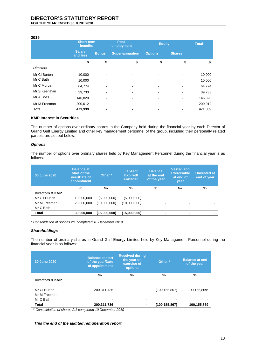#### **2019**

|                  | <b>Short term</b><br>benefits |              | Post-<br>employment    | <b>Equity</b>  |               | <b>Total</b> |
|------------------|-------------------------------|--------------|------------------------|----------------|---------------|--------------|
|                  | <b>Salary</b><br>and fees     | <b>Bonus</b> | <b>Super-annuation</b> | <b>Options</b> | <b>Shares</b> |              |
|                  | \$                            | \$           | \$                     | \$             | \$            | \$           |
| <b>Directors</b> |                               |              |                        |                |               |              |
| Mr CI Burton     | 10,000                        |              |                        |                |               | 10,000       |
| Mr C Bath        | 10,000                        |              |                        |                |               | 10,000       |
| Mr C Morgan      | 64,774                        |              | ۰                      |                |               | 64,774       |
| Mr S Keenihan    | 39,733                        |              |                        |                |               | 39,733       |
| Mr A Boss        | 146,820                       |              |                        |                |               | 146,820      |
| Mr M Freeman     | 200,012                       |              |                        |                |               | 200,012      |
| <b>Total</b>     | 471,339                       |              | ٠                      |                |               | 471,339      |

#### **KMP Interest in Securities**

The number of options over ordinary shares in the Company held during the financial year by each Director of Grand Gulf Energy Limited and other key management personnel of the group, including their personally related parties, are set out below.

#### *Options*

The number of options over ordinary shares held by Key Management Personnel during the financial year is as follows:

| 30 June 2020    | <b>Balance at</b><br>start of the<br>year/Date of<br>appointment | Other <sup>*</sup> | Lapsed/<br><b>Expired/</b><br><b>Forfeited</b> | <b>Balance</b><br>at the end<br>of the year | <b>Vested and</b><br><b>Exercisable</b><br>at end of<br><b>vear</b> | Unvested at<br>end of year |
|-----------------|------------------------------------------------------------------|--------------------|------------------------------------------------|---------------------------------------------|---------------------------------------------------------------------|----------------------------|
|                 | No.                                                              | No.                | No.                                            | No.                                         | No.                                                                 | No.                        |
| Directors & KMP |                                                                  |                    |                                                |                                             |                                                                     |                            |
| Mr C I Burton   | 10,000,000                                                       | (5,000,000)        | (5,000,000)                                    |                                             | -                                                                   |                            |
| Mr M Freeman    | 20,000,000                                                       | (10,000,000)       | (10,000,000)                                   |                                             | -                                                                   |                            |
| Mr C Bath       |                                                                  |                    |                                                | -                                           |                                                                     |                            |
| Total           | 30,000,000                                                       | (15,000,000)       | (15,000,000)                                   | $\blacksquare$                              | -                                                                   | -                          |

*\* Consolidation of options 2:1 completed 10 December 2019*

#### *Shareholdings*

The number of ordinary shares in Grand Gulf Energy Limited held by Key Management Personnel during the financial year is as follows:

| 30 June 2020    | <b>Balance at start</b><br>of the year/Date<br>of appointment | <b>Received during</b><br>the year on<br>exercise of<br><b>options</b> | Other <sup>*</sup>       | <b>Balance at end</b><br>of the year |
|-----------------|---------------------------------------------------------------|------------------------------------------------------------------------|--------------------------|--------------------------------------|
| Directors & KMP | No.                                                           | No.                                                                    | No.                      | No.                                  |
| Mr CI Burton    | 200.311.736                                                   |                                                                        | (100, 155, 867)          | 100,155,869*                         |
| Mr M Freeman    |                                                               |                                                                        | $\overline{\phantom{a}}$ |                                      |
| Mr C Bath       |                                                               |                                                                        | $\overline{\phantom{a}}$ |                                      |
| Total           | 200,311,736                                                   |                                                                        | (100, 155, 867)          | 100,155,869                          |

\* *Consolidation of shares 2:1 completed 10 December 2019*

*This the end of the audited remuneration report.*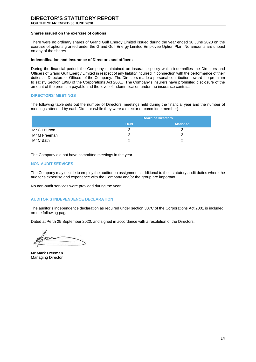#### **Shares issued on the exercise of options**

There were no ordinary shares of Grand Gulf Energy Limited issued during the year ended 30 June 2020 on the exercise of options granted under the Grand Gulf Energy Limited Employee Option Plan. No amounts are unpaid on any of the shares.

#### **Indemnification and Insurance of Directors and officers**

During the financial period, the Company maintained an insurance policy which indemnifies the Directors and Officers of Grand Gulf Energy Limited in respect of any liability incurred in connection with the performance of their duties as Directors or Officers of the Company. The Directors made a personal contribution toward the premium to satisfy Section 199B of the Corporations Act 2001. The Company's insurers have prohibited disclosure of the amount of the premium payable and the level of indemnification under the insurance contract.

#### **DIRECTORS' MEETINGS**

The following table sets out the number of Directors' meetings held during the financial year and the number of meetings attended by each Director (while they were a director or committee member).

|               | <b>Board of Directors</b> |                 |  |
|---------------|---------------------------|-----------------|--|
|               | <b>Held</b>               | <b>Attended</b> |  |
| Mr C I Burton |                           |                 |  |
| Mr M Freeman  |                           |                 |  |
| Mr C Bath     |                           |                 |  |

The Company did not have committee meetings in the year.

#### **NON-AUDIT SERVICES**

The Company may decide to employ the auditor on assignments additional to their statutory audit duties where the auditor's expertise and experience with the Company and/or the group are important.

No non-audit services were provided during the year.

#### **AUDITOR'S INDEPENDENCE DECLARATION**

The auditor's independence declaration as required under section 307C of the Corporations Act 2001 is included on the following page.

Dated at Perth 25 September 2020, and signed in accordance with a resolution of the Directors.

**Mr Mark Freeman** Managing Director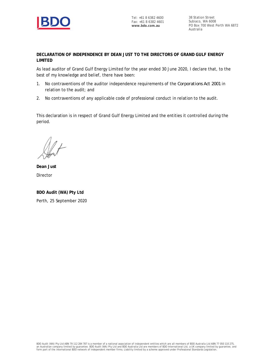

38 Station Street Subiaco, WA 6008 PO Box 700 West Perth WA 6872 Australia

**DECLARATION OF INDEPENDENCE BY DEAN JUST TO THE DIRECTORS OF GRAND GULF ENERGY LIMITED**

As lead auditor of Grand Gulf Energy Limited for the year ended 30 June 2020, I declare that, to the best of my knowledge and belief, there have been:

- 1. No contraventions of the auditor independence requirements of the *Corporations Act 2001* in relation to the audit; and
- 2. No contraventions of any applicable code of professional conduct in relation to the audit.

This declaration is in respect of Grand Gulf Energy Limited and the entities it controlled during the period.

**Dean Just** Director

**BDO Audit (WA) Pty Ltd** Perth, 25 September 2020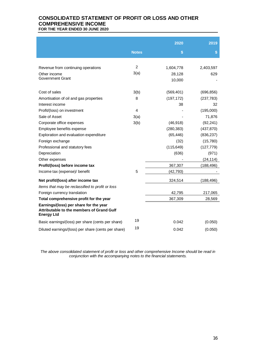# **CONSOLIDATED STATEMENT OF PROFIT OR LOSS AND OTHER COMPREHENSIVE INCOME FOR THE YEAR ENDED 30 JUNE 2020**

|                                                                                                          |                | 2020       | 2019         |
|----------------------------------------------------------------------------------------------------------|----------------|------------|--------------|
|                                                                                                          |                |            |              |
|                                                                                                          | <b>Notes</b>   | \$         | $\mathbf{s}$ |
|                                                                                                          |                |            |              |
| Revenue from continuing operations                                                                       | 2              | 1,604,778  | 2,403,597    |
| Other income                                                                                             | 3(a)           | 28,128     | 629          |
| Government Grant                                                                                         |                | 10,000     |              |
|                                                                                                          |                |            |              |
| Cost of sales                                                                                            | 3(b)           | (569, 401) | (696, 856)   |
| Amortisation of oil and gas properties                                                                   | 8              | (197, 172) | (237, 783)   |
| Interest income                                                                                          |                | 38         | 32           |
| Profit/(loss) on investment                                                                              | $\overline{4}$ |            | (195,000)    |
| Sale of Asset                                                                                            | 3(a)           |            | 71,876       |
| Corporate office expenses                                                                                | 3(b)           | (46, 918)  | (92, 241)    |
| Employee benefits expense                                                                                |                | (280, 383) | (437, 870)   |
| Exploration and evaluation expenditure                                                                   |                | (65, 446)  | (836, 237)   |
| Foreign exchange                                                                                         |                | (32)       | (15, 780)    |
| Professional and statutory fees                                                                          |                | (115, 649) | (127, 779)   |
| Depreciation                                                                                             |                | (636)      | (971)        |
| Other expenses                                                                                           |                |            | (24, 114)    |
| Profit/(loss) before income tax                                                                          |                | 367,307    | (188, 496)   |
| Income tax (expense)/ benefit                                                                            | 5              | (42, 793)  |              |
| Net profit/(loss) after income tax                                                                       |                | 324,514    | (188,496)    |
| Items that may be reclassified to profit or loss                                                         |                |            |              |
| Foreign currency translation                                                                             |                | 42,795     | 217,065      |
| Total comprehensive profit for the year                                                                  |                | 367,309    | 28,569       |
| Earnings/(loss) per share for the year<br>Attributable to the members of Grand Gulf<br><b>Energy Ltd</b> |                |            |              |
| Basic earnings/(loss) per share (cents per share)                                                        | 19             | 0.042      | (0.050)      |
| Diluted earnings/(loss) per share (cents per share)                                                      | 19             | 0.042      | (0.050)      |

*The above consolidated statement of profit or loss and other comprehensive Income should be read in conjunction with the accompanying notes to the financial statements.*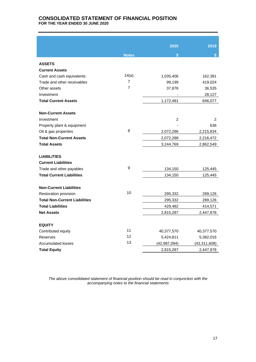# **CONSOLIDATED STATEMENT OF FINANCIAL POSITION FOR THE YEAR ENDED 30 JUNE 2020**

|                                      |                | 2020           | 2019           |
|--------------------------------------|----------------|----------------|----------------|
|                                      |                |                |                |
|                                      | <b>Notes</b>   | $\mathbf{s}$   | \$             |
| <b>ASSETS</b>                        |                |                |                |
| <b>Current Assets</b>                |                |                |                |
| Cash and cash equivalents            | 14(a)          | 1,035,406      | 162,391        |
| Trade and other receivables          | 7              | 99,199         | 419,024        |
| Other assets                         | $\overline{7}$ | 37,876         | 36,535         |
| Investment                           |                |                | 28,127         |
| <b>Total Current Assets</b>          |                | 1,172,481      | 646,077        |
|                                      |                |                |                |
| <b>Non-Current Assets</b>            |                |                |                |
| Investment                           |                | $\overline{2}$ | $\overline{2}$ |
| Property plant & equipment           |                |                | 636            |
| Oil & gas properties                 | 8              | 2,072,286      | 2,215,834      |
| <b>Total Non-Current Assets</b>      |                | 2,072,288      | 2,216,472      |
| <b>Total Assets</b>                  |                | 3,244,769      | 2,862,549      |
|                                      |                |                |                |
| <b>LIABILITIES</b>                   |                |                |                |
| <b>Current Liabilities</b>           |                |                |                |
| Trade and other payables             | 9              | 134,150        | 125,445        |
| <b>Total Current Liabilities</b>     |                | 134,150        | 125,445        |
|                                      |                |                |                |
| <b>Non-Current Liabilities</b>       |                |                |                |
| Restoration provision                | 10             | 295,332        | 289,126        |
| <b>Total Non-Current Liabilities</b> |                | 295,332        | 289,126        |
| <b>Total Liabilities</b>             |                | 429,482        | 414,571        |
| <b>Net Assets</b>                    |                | 2,815,287      | 2,447,978      |
|                                      |                |                |                |
| <b>EQUITY</b>                        |                |                |                |
| Contributed equity                   | 11             | 40,377,570     | 40,377,570     |
| Reserves                             | 12             | 5,424,811      | 5,382,016      |
| <b>Accumulated losses</b>            | 13             | (42, 987, 094) | (43, 311, 608) |
| <b>Total Equity</b>                  |                | 2,815,287      | 2,447,978      |

*The above consolidated statement of financial position should be read in conjunction with the accompanying notes to the financial statements*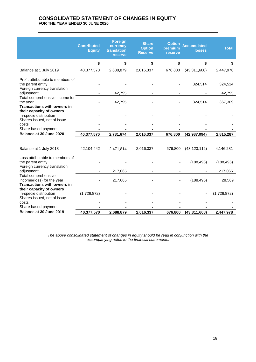# **CONSOLIDATED STATEMENT OF CHANGES IN EQUITY FOR THE YEAR ENDED 30 JUNE 2020**

|                                                                                         | <b>Contributed</b><br><b>Equity</b> | <b>Foreign</b><br>currency<br>translation<br>reserve | <b>Share</b><br><b>Option</b><br><b>Reserve</b> | <b>Option</b><br>premium<br><b>reserve</b> | <b>Accumulated</b><br><b>losses</b> | <b>Total</b> |
|-----------------------------------------------------------------------------------------|-------------------------------------|------------------------------------------------------|-------------------------------------------------|--------------------------------------------|-------------------------------------|--------------|
|                                                                                         | \$                                  | \$                                                   | \$                                              | \$                                         | \$                                  | \$           |
| Balance at 1 July 2019                                                                  | 40,377,570                          | 2,688,879                                            | 2,016,337                                       | 676,800                                    | (43, 311, 608)                      | 2,447,978    |
| Profit attributable to members of<br>the parent entity<br>Foreign currency translation  |                                     |                                                      |                                                 |                                            | 324,514                             | 324,514      |
| adjustment                                                                              |                                     | 42,795                                               |                                                 |                                            |                                     | 42,795       |
| Total comprehensive income for<br>the year<br><b>Transactions with owners in</b>        |                                     | 42,795                                               |                                                 |                                            | 324,514                             | 367,309      |
| their capacity of owners<br>In-specie distribution<br>Shares issued, net of issue       |                                     |                                                      |                                                 |                                            |                                     |              |
| costs                                                                                   |                                     |                                                      |                                                 |                                            |                                     |              |
| Share based payment<br>Balance at 30 June 2020                                          | 40,377,570                          | 2,731,674                                            | 2,016,337                                       | 676,800                                    | (42, 987, 094)                      | 2,815,287    |
|                                                                                         |                                     |                                                      |                                                 |                                            |                                     |              |
| Balance at 1 July 2018                                                                  | 42,104,442                          | 2,471,814                                            | 2,016,337                                       | 676,800                                    | (43, 123, 112)                      | 4,146,281    |
| Loss attributable to members of<br>the parent entity<br>Foreign currency translation    |                                     |                                                      |                                                 |                                            | (188, 496)                          | (188, 496)   |
| adjustment                                                                              |                                     | 217,065                                              |                                                 |                                            |                                     | 217,065      |
| Total comprehensive<br>income/(loss) for the year<br><b>Transactions with owners in</b> |                                     | 217,065                                              |                                                 |                                            | (188, 496)                          | 28,569       |
| their capacity of owners<br>In-specie distribution<br>Shares issued, net of issue       | (1,726,872)                         |                                                      |                                                 |                                            |                                     | (1,726,872)  |
| costs                                                                                   |                                     |                                                      |                                                 |                                            |                                     |              |
| Share based payment<br>Balance at 30 June 2019                                          | 40,377,570                          | 2,688,879                                            | 2,016,337                                       | 676,800                                    | (43, 311, 608)                      | 2,447,978    |
|                                                                                         |                                     |                                                      |                                                 |                                            |                                     |              |

*The above consolidated statement of changes in equity should be read in conjunction with the accompanying notes to the financial statements.*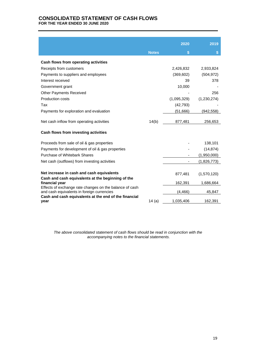# **CONSOLIDATED STATEMENT OF CASH FLOWS FOR THE YEAR ENDED 30 JUNE 2020**

|                                                                           |              | 2020        | 2019        |
|---------------------------------------------------------------------------|--------------|-------------|-------------|
|                                                                           | <b>Notes</b> | \$          | S           |
| Cash flows from operating activities                                      |              |             |             |
| Receipts from customers                                                   |              | 2,426,832   | 2,933,824   |
| Payments to suppliers and employees                                       |              | (369, 602)  | (504, 972)  |
| Interest received                                                         |              | 39          | 378         |
| Government grant                                                          |              | 10,000      |             |
| Other Payments Received                                                   |              |             | 256         |
| Production costs                                                          |              | (1,095,329) | (1,230,274) |
| Tax                                                                       |              | (42, 793)   |             |
| Payments for exploration and evaluation                                   |              | (51,666)    | (942,558)   |
|                                                                           |              |             |             |
| Net cash inflow from operating activities                                 | 14(b)        | 877,481     | 256,653     |
| Cash flows from investing activities                                      |              |             |             |
| Proceeds from sale of oil & gas properties                                |              |             | 138,101     |
| Payments for development of oil & gas properties                          |              |             | (14, 874)   |
| Purchase of Whitebark Shares                                              |              |             | (1,950,000) |
| Net cash (outflows) from investing activities                             |              |             | (1,826,773) |
|                                                                           |              |             |             |
| Net increase in cash and cash equivalents                                 |              | 877,481     | (1,570,120) |
| Cash and cash equivalents at the beginning of the                         |              |             |             |
| financial year<br>Effects of exchange rate changes on the balance of cash |              | 162,391     | 1,686,664   |
| and cash equivalents in foreign currencies                                |              | (4, 466)    | 45,847      |
| Cash and cash equivalents at the end of the financial<br>year             | 14(a)        | 1,035,406   | 162,391     |

*The above consolidated statement of cash flows should be read in conjunction with the accompanying notes to the financial statements.*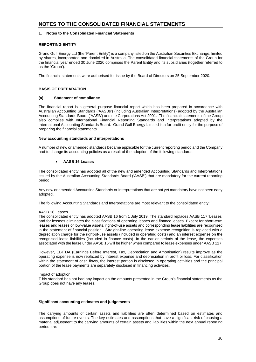## **1. Notes to the Consolidated Financial Statements**

# **REPORTING ENTITY**

Grand Gulf Energy Ltd (the 'Parent Entity') is a company listed on the Australian Securities Exchange, limited by shares, incorporated and domiciled in Australia. The consolidated financial statements of the Group for the financial year ended 30 June 2020 comprises the Parent Entity and its subsidiaries (together referred to as the 'Group').

The financial statements were authorised for issue by the Board of Directors on 25 September 2020.

## **BASIS OF PREPARATION**

#### **(a) Statement of compliance**

The financial report is a general purpose financial report which has been prepared in accordance with Australian Accounting Standards ('AASBs') (including Australian Interpretations) adopted by the Australian Accounting Standards Board ('AASB') and the Corporations Act 2001. The financial statements of the Group also complies with International Financial Reporting Standards and interpretations adopted by the International Accounting Standards Board. Grand Gulf Energy Limited is a for-profit entity for the purpose of preparing the financial statements.

## **New accounting standards and interpretations**

A number of new or amended standards became applicable for the current reporting period and the Company had to change its accounting policies as a result of the adoption of the following standards:

### • **AASB 16 Leases**

The consolidated entity has adopted all of the new and amended Accounting Standards and Interpretations issued by the Australian Accounting Standards Board ('AASB') that are mandatory for the current reporting period.

Any new or amended Accounting Standards or Interpretations that are not yet mandatory have not been early adopted.

The following Accounting Standards and Interpretations are most relevant to the consolidated entity:

#### AASB 16 Leases

The consolidated entity has adopted AASB 16 from 1 July 2019. The standard replaces AASB 117 'Leases' and for lessees eliminates the classifications of operating leases and finance leases. Except for short-term leases and leases of low-value assets, right-of-use assets and corresponding lease liabilities are recognised in the statement of financial position. Straight-line operating lease expense recognition is replaced with a depreciation charge for the right-of-use assets (included in operating costs) and an interest expense on the recognised lease liabilities (included in finance costs). In the earlier periods of the lease, the expenses associated with the lease under AASB 16 will be higher when compared to lease expenses under AASB 117.

However, EBITDA (Earnings Before Interest, Tax, Depreciation and Amortisation) results improve as the operating expense is now replaced by interest expense and depreciation in profit or loss. For classification within the statement of cash flows, the interest portion is disclosed in operating activities and the principal portion of the lease payments are separately disclosed in financing activities.

#### Impact of adoption

T his standard has not had any impact on the amounts presented in the Group's financial statements as the Group does not have any leases.

#### **Significant accounting estimates and judgements**

The carrying amounts of certain assets and liabilities are often determined based on estimates and assumptions of future events. The key estimates and assumptions that have a significant risk of causing a material adjustment to the carrying amounts of certain assets and liabilities within the next annual reporting period are: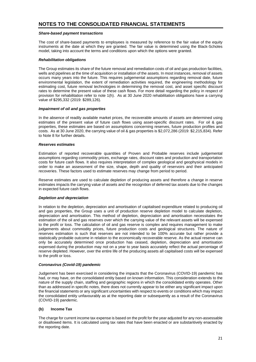#### *Share-based payment transactions*

The cost of share-based payments to employees is measured by reference to the fair value of the equity instruments at the date at which they are granted. The fair value is determined using the Black-Scholes model, taking into account the terms and conditions upon which the options were granted.

#### *Rehabilitation obligations*

The Group estimates its share of the future removal and remediation costs of oil and gas production facilities, wells and pipelines at the time of acquisition or installation of the assets. In most instances, removal of assets occurs many years into the future. This requires judgemental assumptions regarding removal date, future environmental legislation, the extent of remediation activities required, the engineering methodology for estimating cost, future removal technologies in determining the removal cost, and asset specific discount rates to determine the present value of these cash flows. For more detail regarding the policy in respect of provision for rehabilitation refer to note 1(h). As at 30 June 2020 rehabilitation obligations have a carrying value of \$295,332 (2019: \$289,126).

#### *Impairment of oil and gas properties*

In the absence of readily available market prices, the recoverable amounts of assets are determined using estimates of the present value of future cash flows using asset-specific discount rates. For oil & gas properties, these estimates are based on assumptions concerning reserves, future production profiles and costs. As at 30 June 2020, the carrying value of oil & gas properties is \$2,072,286 (2019: \$2,215,834). Refer to Note 8 for further details.

#### *Reserves estimates*

Estimation of reported recoverable quantities of Proven and Probable reserves include judgemental assumptions regarding commodity prices, exchange rates, discount rates and production and transportation costs for future cash flows. It also requires interpretation of complex geological and geophysical models in order to make an assessment of the size, shape, depth and quality of reservoirs and their anticipated recoveries. These factors used to estimate reserves may change from period to period.

Reserve estimates are used to calculate depletion of producing assets and therefore a change in reserve estimates impacts the carrying value of assets and the recognition of deferred tax assets due to the changes in expected future cash flows.

# *Depletion and depreciation*

In relation to the depletion, depreciation and amortisation of capitalised expenditure related to producing oil and gas properties, the Group uses a unit of production reserve depletion model to calculate depletion, depreciation and amortisation. This method of depletion, depreciation and amortisation necessitates the estimation of the oil and gas reserves over which the carrying value of the relevant assets will be expensed to the profit or loss. The calculation of oil and gas reserve is complex and requires management to make judgements about commodity prices, future production costs and geological structures. The nature of reserves estimation is such that reserves are not intended to be 100% accurate but rather provide a statistically probable outcome in relation to the economically recoverable reserve. As the actual reserve can only be accurately determined once production has ceased, depletion, depreciation and amortisation expensed during the production may not on a year to year basis accurately reflect the actual percentage of reserve depleted. However, over the entire life of the producing assets all capitalised costs will be expensed to the profit or loss.

#### *Coronavirus (Covid-19) pandemic*

Judgement has been exercised in considering the impacts that the Coronavirus (COVID-19) pandemic has had, or may have, on the consolidated entity based on known information. This consideration extends to the nature of the supply chain, staffing and geographic regions in which the consolidated entity operates. Other than as addressed in specific notes, there does not currently appear to be either any significant impact upon the financial statements or any significant uncertainties with respect to events or conditions which may impact the consolidated entity unfavourably as at the reporting date or subsequently as a result of the Coronavirus (COVID-19) pandemic.

# **(b) Income Tax**

The charge for current income tax expense is based on the profit for the year adjusted for any non-assessable or disallowed items. It is calculated using tax rates that have been enacted or are substantively enacted by the reporting date.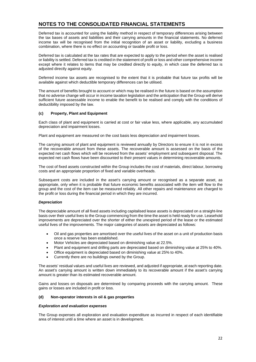Deferred tax is accounted for using the liability method in respect of temporary differences arising between the tax bases of assets and liabilities and their carrying amounts in the financial statements. No deferred income tax will be recognised from the initial recognition of an asset or liability, excluding a business combination, where there is no effect on accounting or taxable profit or loss.

Deferred tax is calculated at the tax rates that are expected to apply to the period when the asset is realised or liability is settled. Deferred tax is credited in the statement of profit or loss and other comprehensive income except where it relates to items that may be credited directly to equity, in which case the deferred tax is adjusted directly against equity.

Deferred income tax assets are recognised to the extent that it is probable that future tax profits will be available against which deductible temporary differences can be utilised.

The amount of benefits brought to account or which may be realised in the future is based on the assumption that no adverse change will occur in income taxation legislation and the anticipation that the Group will derive sufficient future assessable income to enable the benefit to be realised and comply with the conditions of deductibility imposed by the law.

#### **(c) Property, Plant and Equipment**

Each class of plant and equipment is carried at cost or fair value less, where applicable, any accumulated depreciation and impairment losses.

Plant and equipment are measured on the cost basis less depreciation and impairment losses.

The carrying amount of plant and equipment is reviewed annually by Directors to ensure it is not in excess of the recoverable amount from these assets. The recoverable amount is assessed on the basis of the expected net cash flows which will be received from the assets' employment and subsequent disposal. The expected net cash flows have been discounted to their present values in determining recoverable amounts.

The cost of fixed assets constructed within the Group includes the cost of materials, direct labour, borrowing costs and an appropriate proportion of fixed and variable overheads.

Subsequent costs are included in the asset's carrying amount or recognised as a separate asset, as appropriate, only when it is probable that future economic benefits associated with the item will flow to the group and the cost of the item can be measured reliably. All other repairs and maintenance are charged to the profit or loss during the financial period in which they are incurred.

#### *Depreciation*

The depreciable amount of all fixed assets including capitalised lease assets is depreciated on a straight-line basis over their useful lives to the Group commencing from the time the asset is held ready for use. Leasehold improvements are depreciated over the shorter of either the unexpired period of the lease or the estimated useful lives of the improvements. The major categories of assets are depreciated as follows:

- Oil and gas properties are amortised over the useful lives of the asset on a unit of production basis once a reserve has been established.
- Motor Vehicles are depreciated based on diminishing value at 22.5%.
- Plant and equipment and drilling parts are depreciated based on diminishing value at 25% to 40%.
- Office equipment is depreciated based on diminishing value at 25% to 40%.
- Currently there are no buildings owned by the Group.

The assets' residual values and useful lives are reviewed, and adjusted if appropriate, at each reporting date. An asset's carrying amount is written down immediately to its recoverable amount if the asset's carrying amount is greater than its estimated recoverable amount.

Gains and losses on disposals are determined by comparing proceeds with the carrying amount. These gains or losses are included in profit or loss.

#### **(d) Non-operator interests in oil & gas properties**

#### *Exploration and evaluation expenses*

The Group expenses all exploration and evaluation expenditure as incurred in respect of each identifiable area of interest until a time where an asset is in development.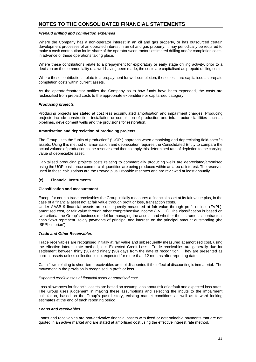#### *Prepaid drilling and completion expenses*

Where the Company has a non-operator interest in an oil and gas property, or has outsourced certain development processes of an operated interest in an oil and gas property, it may periodically be required to make a cash contribution for its share of the operator's/contractors estimated drilling and/or completion costs, in advance of these operations taking place.

Where these contributions relate to a prepayment for exploratory or early stage drilling activity, prior to a decision on the commerciality of a well having been made, the costs are capitalised as prepaid drilling costs.

Where these contributions relate to a prepayment for well completion, these costs are capitalised as prepaid completion costs within current assets.

As the operator/contractor notifies the Company as to how funds have been expended, the costs are reclassified from prepaid costs to the appropriate expenditure or capitalised category.

#### *Producing projects*

Producing projects are stated at cost less accumulated amortisation and impairment charges. Producing projects include construction, installation or completion of production and infrastructure facilities such as pipelines, development wells and the provisions for restoration.

#### **Amortisation and depreciation of producing projects**

The Group uses the "units of production" ("UOP") approach when amortising and depreciating field-specific assets. Using this method of amortisation and depreciation requires the Consolidated Entity to compare the actual volume of production to the reserves end then to apply this determined rate of depletion to the carrying value of depreciable asset.

Capitalised producing projects costs relating to commercially producing wells are depreciated/amortised using the UOP basis once commercial quantities are being produced within an area of interest. The reserves used in these calculations are the Proved plus Probable reserves and are reviewed at least annually.

#### **(e) Financial Instruments**

#### **Classification and measurement**

Except for certain trade receivables the Group initially measures a financial asset at its fair value plus, in the case of a financial asset not at fair value through profit or loss, transaction costs.

Under AASB 9 financial assets are subsequently measured at fair value through profit or loss (FVPL), amortised cost, or fair value through other comprehensive income (FVOCI). The classification is based on two criteria: the Group's business model for managing the assets; and whether the instruments' contractual cash flows represent 'solely payments of principal and interest' on the principal amount outstanding (the 'SPPI criterion').

## *Trade and Other Receivables*

Trade receivables are recognised initially at fair value and subsequently measured at amortised cost, using the effective interest rate method, less Expected Credit Loss. Trade receivables are generally due for settlement between thirty (30) and ninety (90) days from the date of recognition. They are presented as current assets unless collection is not expected for more than 12 months after reporting date.

Cash flows relating to short-term receivables are not discounted if the effect of discounting is immaterial. The movement in the provision is recognised in profit or loss.

#### *Expected credit losses of financial asset at amortised cost*

Loss allowances for financial assets are based on assumptions about risk of default and expected loss rates. The Group uses judgement in making these assumptions and selecting the inputs to the impairment calculation, based on the Group's past history, existing market conditions as well as forward looking estimates at the end of each reporting period.

#### *Loans and receivables*

Loans and receivables are non-derivative financial assets with fixed or determinable payments that are not quoted in an active market and are stated at amortised cost using the effective interest rate method.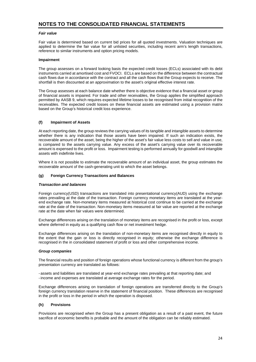#### *Fair value*

Fair value is determined based on current bid prices for all quoted investments. Valuation techniques are applied to determine the fair value for all unlisted securities, including recent arm's length transactions, reference to similar instruments and option pricing models.

#### **Impairment**

The group assesses on a forward looking basis the expected credit losses (ECLs) associated with its debt instruments carried at amortised cost and FVOCI. ECLs are based on the difference between the contractual cash flows due in accordance with the contract and all the cash flows that the Group expects to receive. The shortfall is then discounted at an approximation to the asset's original effective interest rate.

The Group assesses at each balance date whether there is objective evidence that a financial asset or group of financial assets is impaired. For trade and other receivables, the Group applies the simplified approach permitted by AASB 9, which requires expected lifetime losses to be recognised from initial recognition of the receivables. The expected credit losses on these financial assets are estimated using a provision matrix based on the Group's historical credit loss experience.

# **(f) Impairment of Assets**

At each reporting date, the group reviews the carrying values of its tangible and intangible assets to determine whether there is any indication that those assets have been impaired. If such an indication exists, the recoverable amount of the asset, being the higher of the asset's fair value less costs to sell and value in use, is compared to the assets carrying value. Any excess of the asset's carrying value over its recoverable amount is expensed to the profit or loss. Impairment testing is performed annually for goodwill and intangible assets with indefinite lives.

Where it is not possible to estimate the recoverable amount of an individual asset, the group estimates the recoverable amount of the cash-generating unit to which the asset belongs.

#### **(g) Foreign Currency Transactions and Balances**

#### *Transaction and balances*

Foreign currency(USD) transactions are translated into presentational currency(AUD) using the exchange rates prevailing at the date of the transaction. Foreign currency monetary items are translated at the yearend exchange rate. Non-monetary items measured at historical cost continue to be carried at the exchange rate at the date of the transaction. Non-monetary items measured at fair value are reported at the exchange rate at the date when fair values were determined.

Exchange differences arising on the translation of monetary items are recognised in the profit or loss, except where deferred in equity as a qualifying cash flow or net investment hedge.

Exchange differences arising on the translation of non-monetary items are recognised directly in equity to the extent that the gain or loss is directly recognised in equity; otherwise the exchange difference is recognised in the in consolidated statement of profit or loss and other comprehensive income.

#### *Group companies*

The financial results and position of foreign operations whose functional currency is different from the group's presentation currency are translated as follows:

- assets and liabilities are translated at year-end exchange rates prevailing at that reporting date; and - income and expenses are translated at average exchange rates for the period.

Exchange differences arising on translation of foreign operations are transferred directly to the Group's foreign currency translation reserve in the statement of financial position. These differences are recognised in the profit or loss in the period in which the operation is disposed.

#### **(h) Provisions**

Provisions are recognised when the Group has a present obligation as a result of a past event, the future sacrifice of economic benefits is probable and the amount of the obligation can be reliably estimated.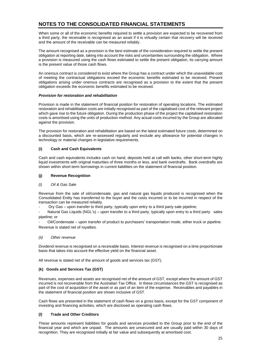When some or all of the economic benefits required to settle a provision are expected to be recovered from a third party, the receivable is recognised as an asset if it is virtually certain that recovery will be received and the amount of the receivable can be measured reliably.

The amount recognised as a provision is the best estimate of the consideration required to settle the present obligation at reporting date, taking into account the risks and uncertainties surrounding the obligation. Where a provision is measured using the cash flows estimated to settle the present obligation, its carrying amount is the present value of those cash flows.

An onerous contract is considered to exist where the Group has a contract under which the unavoidable cost of meeting the contractual obligations exceed the economic benefits estimated to be received. Present obligations arising under onerous contracts are recognised as a provision to the extent that the present obligation exceeds the economic benefits estimated to be received.

# *Provision for restoration and rehabilitation*

Provision is made in the statement of financial position for restoration of operating locations. The estimated restoration and rehabilitation costs are initially recognised as part of the capitalised cost of the relevant project which gave rise to the future obligation. During the production phase of the project the capitalised restoration costs is amortised using the units of production method. Any actual costs incurred by the Group are allocated against the provision.

The provision for restoration and rehabilitation are based on the latest estimated future costs, determined on a discounted basis, which are re-assessed regularly and exclude any allowance for potential changes in technology or material changes in legislative requirements.

# **(i) Cash and Cash Equivalents**

Cash and cash equivalents includes cash on hand, deposits held at call with banks, other short-term highly liquid investments with original maturities of three months or less, and bank overdrafts. Bank overdrafts are shown within short-term borrowings in current liabilities on the statement of financial position.

# **(j) Revenue Recognition**

# *(i) Oil & Gas Sale*

Revenue from the sale of oil/condensate, gas and natural gas liquids produced is recognised when the Consolidated Entity has transferred to the buyer and the costs incurred or to be incurred in respect of the transaction can be measured reliably.

Dry Gas – upon transfer to third party, typically upon entry to a third party sale pipeline;

Natural Gas Liquids (NGL's) – upon transfer to a third party, typically upon entry to a third party sales pipeline; or

- Oil/Condensate – upon transfer of product to purchasers' transportation mode, either truck or pipeline. Revenue is stated net of royalties.

# *(ii) Other revenue*

Dividend revenue is recognised on a receivable basis. Interest revenue is recognised on a time proportionate basis that takes into account the effective yield on the financial asset.

All revenue is stated net of the amount of goods and services tax (GST).

# **(k) Goods and Services Tax (GST)**

Revenues, expenses and assets are recognised net of the amount of GST, except where the amount of GST incurred is not recoverable from the Australian Tax Office. In these circumstances the GST is recognised as part of the cost of acquisition of the asset or as part of an item of the expense. Receivables and payables in the statement of financial position are shown inclusive of GST.

Cash flows are presented in the statement of cash flows on a gross basis, except for the GST component of investing and financing activities, which are disclosed as operating cash flows.

# **(l) Trade and Other Creditors**

These amounts represent liabilities for goods and services provided to the Group prior to the end of the financial year and which are unpaid. The amounts are unsecured and are usually paid within 30 days of recognition. They are recognised initially at fair value and subsequently at amortised cost.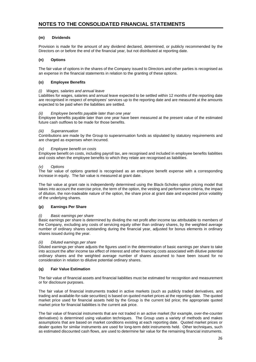# **(m) Dividends**

Provision is made for the amount of any dividend declared, determined, or publicly recommended by the Directors on or before the end of the financial year, but not distributed at reporting date.

# **(n) Options**

The fair value of options in the shares of the Company issued to Directors and other parties is recognised as an expense in the financial statements in relation to the granting of these options.

# **(o) Employee Benefits**

## *(i) Wages, salaries and annual leave*

Liabilities for wages, salaries and annual leave expected to be settled within 12 months of the reporting date are recognised in respect of employees' services up to the reporting date and are measured at the amounts expected to be paid when the liabilities are settled.

#### *(ii) Employee benefits payable later than one year*

Employee benefits payable later than one year have been measured at the present value of the estimated future cash outflows to be made for those benefits.

# *(iii) Superannuation*

Contributions are made by the Group to superannuation funds as stipulated by statutory requirements and are charged as expenses when incurred.

#### *(iv) Employee benefit on costs*

Employee benefit on costs, including payroll tax, are recognised and included in employee benefits liabilities and costs when the employee benefits to which they relate are recognised as liabilities.

#### *(v) Options*

The fair value of options granted is recognised as an employee benefit expense with a corresponding increase in equity. The fair value is measured at grant date.

The fair value at grant rate is independently determined using the Black-Scholes option pricing model that takes into account the exercise price, the term of the option, the vesting and performance criteria, the impact of dilution, the non-tradeable nature of the option, the share price at grant date and expected price volatility of the underlying shares.

# **(p) Earnings Per Share**

# *(i) Basic earnings per share*

Basic earnings per share is determined by dividing the net profit after income tax attributable to members of the Company, excluding any costs of servicing equity other than ordinary shares, by the weighted average number of ordinary shares outstanding during the financial year, adjusted for bonus elements in ordinary shares issued during the year.

# *(ii) Diluted earnings per share*

Diluted earnings per share adjusts the figures used in the determination of basic earnings per share to take into account the after income tax effect of interest and other financing costs associated with dilutive potential ordinary shares and the weighted average number of shares assumed to have been issued for no consideration in relation to dilutive potential ordinary shares.

# **(q) Fair Value Estimation**

The fair value of financial assets and financial liabilities must be estimated for recognition and measurement or for disclosure purposes.

The fair value of financial instruments traded in active markets (such as publicly traded derivatives, and trading and available-for-sale securities) is based on quoted market prices at the reporting date. The quoted market price used for financial assets held by the Group is the current bid price; the appropriate quoted market price for financial liabilities is the current ask price.

The fair value of financial instruments that are not traded in an active market (for example, over-the-counter derivatives) is determined using valuation techniques. The Group uses a variety of methods and makes assumptions that are based on market conditions existing at each reporting date. Quoted market prices or dealer quotes for similar instruments are used for long-term debt instruments held. Other techniques, such as estimated discounted cash flows, are used to determine fair value for the remaining financial instruments.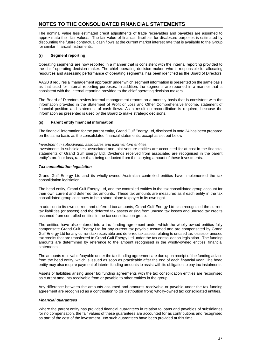The nominal value less estimated credit adjustments of trade receivables and payables are assumed to approximate their fair values. The fair value of financial liabilities for disclosure purposes is estimated by discounting the future contractual cash flows at the current market interest rate that is available to the Group for similar financial instruments.

## **(r) Segment reporting**

Operating segments are now reported in a manner that is consistent with the internal reporting provided to the chief operating decision maker. The chief operating decision maker, who is responsible for allocating resources and assessing performance of operating segments, has been identified as the Board of Directors.

AASB 8 requires a 'management approach' under which segment information is presented on the same basis as that used for internal reporting purposes. In addition, the segments are reported in a manner that is consistent with the internal reporting provided to the chief operating decision makers.

The Board of Directors review internal management reports on a monthly basis that is consistent with the information provided in the Statement of Profit or Loss and Other Comprehensive Income, statement of financial position and statement of cash flows. As a result no reconciliation is required, because the information as presented is used by the Board to make strategic decisions.

#### **(s) Parent entity financial information**

The financial information for the parent entity, Grand Gulf Energy Ltd, disclosed in note 24 has been prepared on the same basis as the consolidated financial statements, except as set out below.

#### *Investment in subsidiaries, associates and joint venture entities*

Investments in subsidiaries, associated and joint venture entities are accounted for at cost in the financial statements of Grand Gulf Energy Ltd. Dividends received from associated are recognised in the parent entity's profit or loss, rather than being deducted from the carrying amount of these investments.

# *Tax consolidation legislation*

Grand Gulf Energy Ltd and its wholly-owned Australian controlled entities have implemented the tax consolidation legislation.

The head entity, Grand Gulf Energy Ltd, and the controlled entities in the tax consolidated group account for their own current and deferred tax amounts. These tax amounts are measured as if each entity in the tax consolidated group continues to be a stand-alone taxpayer in its own right.

In addition to its own current and deferred tax amounts, Grand Gulf Energy Ltd also recognised the current tax liabilities (or assets) and the deferred tax assets arising from unused tax losses and unused tax credits assumed from controlled entities in the tax consolidation group.

The entities have also entered into a tax funding agreement under which the wholly-owned entities fully compensate Grand Gulf Energy Ltd for any current tax payable assumed and are compensated by Grand Gulf Energy Ltd for any current tax receivable and deferred tax assets relating to unused tax losses or unused tax credits that are transferred to Grand Gulf Energy Ltd under the tax consolidation legislation. The funding amounts are determined by reference to the amount recognised in the wholly-owned entities' financial statements.

The amounts receivable/payable under the tax funding agreement are due upon receipt of the funding advice from the head entity, which is issued as soon as practicable after the end of each financial year. The head entity may also require payment of interim funding amounts to assist with its obligation to pay tax instalments.

Assets or liabilities arising under tax funding agreements with the tax consolidation entities are recognised as current amounts receivable from or payable to other entities in the group.

Any difference between the amounts assumed and amounts receivable or payable under the tax funding agreement are recognised as a contribution to (or distribution from) wholly-owned tax consolidated entities.

#### *Financial guarantees*

Where the parent entity has provided financial guarantees in relation to loans and payables of subsidiaries for no compensation, the fair values of these guarantees are accounted for as contributions and recognised as part of the cost of the investment. No such guarantees have been provided at this time.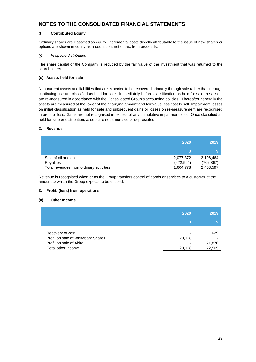# **(t) Contributed Equity**

Ordinary shares are classified as equity. Incremental costs directly attributable to the issue of new shares or options are shown in equity as a deduction, net of tax, from proceeds.

# *(i) In-specie distribution*

The share capital of the Company is reduced by the fair value of the investment that was returned to the shareholders.

# **(u) Assets held for sale**

Non-current assets and liabilities that are expected to be recovered primarily through sale rather than through continuing use are classified as held for sale. Immediately before classification as held for sale the assets are re-measured in accordance with the Consolidated Group's accounting policies. Thereafter generally the assets are measured at the lower of their carrying amount and fair value less cost to sell. Impairment losses on initial classification as held for sale and subsequent gains or losses on re-measurement are recognised in profit or loss. Gains are not recognised in excess of any cumulative impairment loss. Once classified as held for sale or distribution, assets are not amortised or depreciated.

# **2. Revenue**

|                                         | 2020      | 2019       |
|-----------------------------------------|-----------|------------|
|                                         |           |            |
| Sale of oil and gas                     | 2,077,372 | 3,106,464  |
| Royalties                               | (472,594) | (702, 867) |
| Total revenues from ordinary activities | 1,604,778 | 2,403,597  |

Revenue is recognised when or as the Group transfers control of goods or services to a customer at the amount to which the Group expects to be entitled.

# **3. Profit/ (loss) from operations**

# **(a) Other Income**

|                                                                                                         | 2020             | 2019                    |
|---------------------------------------------------------------------------------------------------------|------------------|-------------------------|
| Recovery of cost<br>Profit on sale of Whitebark Shares<br>Profit on sale of Abita<br>Total other income | 28,128<br>28,128 | 629<br>71,876<br>72,505 |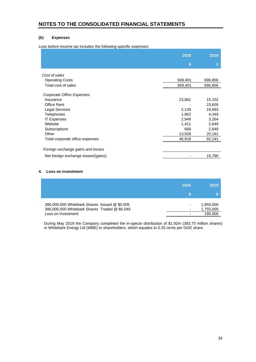# **(b) Expenses**

Loss before income tax includes the following specific expenses:

|                                     | 2020    | 2019    |
|-------------------------------------|---------|---------|
|                                     | S       | \$      |
| Cost of sales                       |         |         |
| <b>Operating Costs</b>              | 569,401 | 696,856 |
| Total cost of sales                 | 569,401 | 696,856 |
| Corporate Office Expenses           |         |         |
| Insurance                           | 23,861  | 15,152  |
| <b>Office Rent</b>                  |         | 23,605  |
| <b>Legal Services</b>               | 2,139   | 19,993  |
| <b>Telephones</b>                   | 1,962   | 4,349   |
| <b>IT Expenses</b>                  | 2,949   | 3,264   |
| Website                             | 1,411   | 2,849   |
| Subscriptions                       | 668     | 2,849   |
| Other                               | 13,928  | 20,181  |
| Total corporate office expenses     | 46,918  | 92,241  |
| Foreign exchange gains and losses   |         |         |
| Net foreign exchange losses/(gains) |         | 15,780  |

# **4. Loss on investment**

|                                               | 2020 | 2019      |
|-----------------------------------------------|------|-----------|
|                                               |      |           |
| 390,000,000 Whitebark Shares Issued @ \$0.005 |      | 1,950,000 |
| 390,000,000 Whitebark Shares Traded @ \$0.045 |      | 1,755,000 |
| Loss on Investment                            |      | 195,000   |

During May 2019 the Company completed the in-specie distribution of \$1.92m (383.75 million shares) in Whitebark Energy Ltd (WBE) to shareholders, which equates to 0.25 cents per GGE share.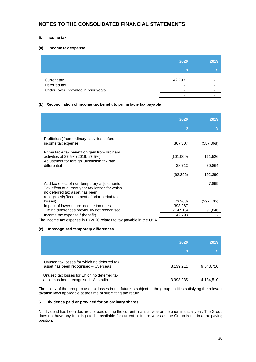# **5. Income tax**

# **(a) Income tax expense**

|                                      | 2020                               | 2019                     |
|--------------------------------------|------------------------------------|--------------------------|
|                                      | m۱                                 |                          |
| Current tax<br>Deferred tax          | 42,793<br>$\overline{\phantom{0}}$ | $\overline{\phantom{0}}$ |
| Under (over) provided in prior years | -                                  | -                        |

# **(b) Reconciliation of income tax benefit to prima facie tax payable**

|                                                                                                                                                                                | 2020      | 2019       |
|--------------------------------------------------------------------------------------------------------------------------------------------------------------------------------|-----------|------------|
|                                                                                                                                                                                | S         |            |
| Profit/(loss)from ordinary activities before<br>income tax expense                                                                                                             | 367,307   | (587, 368) |
| Prima facie tax benefit on gain from ordinary<br>activities at 27.5% (2019: 27.5%)<br>Adjustment for foreign jurisdiction tax rate                                             | (101,009) | 161,526    |
| differential                                                                                                                                                                   | 38,713    | 30,864     |
|                                                                                                                                                                                | (62, 296) | 192,390    |
| Add tax effect of non-temporary adjustments<br>Tax effect of current year tax losses for which<br>no deferred tax asset has been<br>recognised/(Recoupment of prior period tax |           | 7,869      |
| losses)                                                                                                                                                                        | (73, 263) | (292, 105) |
| Impact of lower future income tax rates                                                                                                                                        | 393,267   |            |
| Timing differences previously not recognised                                                                                                                                   | (214,915) | 91,846     |
| Income tax expense / (benefit)<br>$\blacksquare$                                                                                                                               | 42,793    |            |

The income tax expense in FY2020 relates to tax payable in the USA

# **(c) Unrecognised temporary differences**

|                                                                                      | 2020<br>S | 2019      |
|--------------------------------------------------------------------------------------|-----------|-----------|
| Unused tax losses for which no deferred tax<br>asset has been recognised - Overseas  | 8,139,211 | 9,543,710 |
| Unused tax losses for which no deferred tax<br>asset has been recognised - Australia | 3,998,235 | 4,134,510 |

The ability of the group to use tax losses in the future is subject to the group entities satisfying the relevant taxation laws applicable at the time of submitting the return.

# **6. Dividends paid or provided for on ordinary shares**

No dividend has been declared or paid during the current financial year or the prior financial year. The Group does not have any franking credits available for current or future years as the Group is not in a tax paying position.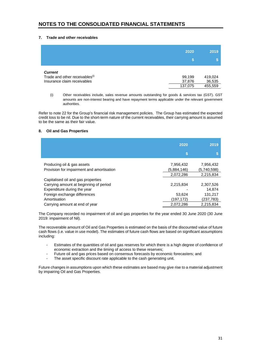# **7. Trade and other receivables**

|                                            | 2020<br>m | 2019    |
|--------------------------------------------|-----------|---------|
| <b>Current</b>                             | 99,199    | 419,024 |
| Trade and other receivables <sup>(i)</sup> | 37,876    | 36,535  |
| Insurance claim receivables                | 137,075   | 455,559 |

(i) Other receivables include, sales revenue amounts outstanding for goods & services tax (GST). GST amounts are non-interest bearing and have repayment terms applicable under the relevant government authorities.

Refer to note 22 for the Group's financial risk management policies. The Group has estimated the expected credit loss to be nil. Due to the short-term nature of the current receivables, their carrying amount is assumed to be the same as their fair value.

## **8. Oil and Gas Properties**

|                                           | 2020        | 2019        |
|-------------------------------------------|-------------|-------------|
|                                           | \$          |             |
| Producing oil & gas assets                | 7,956,432   | 7,956,432   |
| Provision for impairment and amortisation | (5,884,146) | (5,740,598) |
|                                           | 2,072,286   | 2,215,834   |
| Capitalised oil and gas properties        |             |             |
| Carrying amount at beginning of period    | 2,215,834   | 2,307,526   |
| Expenditure during the year               |             | 14,874      |
| Foreign exchange differences              | 53,624      | 131,217     |
| Amortisation                              | (197,172)   | (237,783)   |
| Carrying amount at end of year            | 2,072,286   | 2.215.834   |

The Company recorded no impairment of oil and gas properties for the year ended 30 June 2020 (30 June 2019: impairment of Nil).

The recoverable amount of Oil and Gas Properties is estimated on the basis of the discounted value of future cash flows (i.e. value in use model). The estimates of future cash flows are based on significant assumptions including:

- Estimates of the quantities of oil and gas reserves for which there is a high degree of confidence of economic extraction and the timing of access to these reserves;
- Future oil and gas prices based on consensus forecasts by economic forecasters; and
- The asset specific discount rate applicable to the cash generating unit.

Future changes in assumptions upon which these estimates are based may give rise to a material adjustment by impairing Oil and Gas Properties.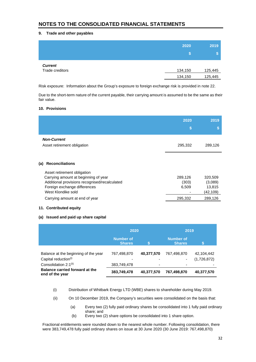# **9. Trade and other payables**

|                 | 2020    | 2019               |
|-----------------|---------|--------------------|
|                 | S.      | $\mathbf{\hat{s}}$ |
| <b>Current</b>  |         |                    |
| Trade creditors | 134,150 | 125,445            |
|                 | 134,150 | 125,445            |

Risk exposure: Information about the Group's exposure to foreign exchange risk is provided in note 22.

Due to the short-term nature of the current payable, their carrying amount is assumed to be the same as their fair value.

#### **10. Provisions**

|                                                                                                                                             | 2020<br>S                 | 2019<br>S                                 |
|---------------------------------------------------------------------------------------------------------------------------------------------|---------------------------|-------------------------------------------|
| <b>Non-Current</b><br>Asset retirement obligation                                                                                           | 295,332                   | 289,126                                   |
| (a)<br><b>Reconciliations</b><br>Asset retirement obligation                                                                                |                           |                                           |
| Carrying amount at beginning of year<br>Additional provisions recognised/recalculated<br>Foreign exchange differences<br>West Klondike sold | 289,126<br>(303)<br>6,509 | 320,509<br>(3,089)<br>13,815<br>(42, 109) |
| Carrying amount at end of year                                                                                                              | 295,332                   | 289,126                                   |

#### **11. Contributed equity**

# **(a) Issued and paid up share capital**

|                                                                       | 2020                              |            | 2019                              |             |
|-----------------------------------------------------------------------|-----------------------------------|------------|-----------------------------------|-------------|
|                                                                       | <b>Number of</b><br><b>Shares</b> |            | <b>Number of</b><br><b>Shares</b> | N           |
| Balance at the beginning of the year                                  | 767,498,870                       | 40,377,570 | 767,498,870                       | 42,104,442  |
| Capital reduction <sup>(i)</sup><br>Consolidation 2:1 <sup>(ii)</sup> | 383,749,478                       | -<br>٠     | ٠                                 | (1,726,872) |
| <b>Balance carried forward at the</b><br>end of the year              | 383,749,478                       | 40,377,570 | 767,498,870                       | 40,377,570  |

- (i) Distribution of Whitbark Energy LTD (WBE) shares to shareholder during May 2019.
- (ii) On 10 December 2019, the Company's securities were consolidated on the basis that:
	- (a) Every two (2) fully paid ordinary shares be consolidated into 1 fully paid ordinary share; and
	- (b) Every two (2) share options be consolidated into 1 share option.

Fractional entitlements were rounded down to the nearest whole number. Following consolidation, there were 383,749,478 fully paid ordinary shares on issue at 30 June 2020 (30 June 2019: 767,498,870)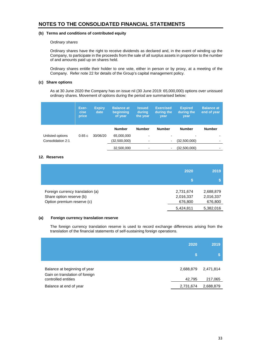## **(b) Terms and conditions of contributed equity**

#### O*rdinary shares*

Ordinary shares have the right to receive dividends as declared and, in the event of winding up the Company, to participate in the proceeds from the sale of all surplus assets in proportion to the number of and amounts paid up on shares held.

Ordinary shares entitle their holder to one vote, either in person or by proxy, at a meeting of the Company. Refer note 22 for details of the Group's capital management policy.

# **(c) Share options**

As at 30 June 2020 the Company has on issue nil (30 June 2019: 65,000,000) options over unissued ordinary shares. Movement of options during the period are summarised below:

|                   | Exer-<br>cise<br>price | <b>Expiry</b><br>date | <b>Balance at</b><br>beginning<br>of year | <b>Issued</b><br>during<br>the year | <b>Exercised</b><br>during the<br>vear | <b>Expired</b><br>during the<br>year | <b>Balance at</b><br>end of year |
|-------------------|------------------------|-----------------------|-------------------------------------------|-------------------------------------|----------------------------------------|--------------------------------------|----------------------------------|
|                   |                        |                       | <b>Number</b>                             | <b>Number</b>                       | <b>Number</b>                          | <b>Number</b>                        | <b>Number</b>                    |
| Unlisted options  | 0.65c                  | 30/06/20              | 65,000,000                                | $\blacksquare$                      | $\,$                                   |                                      |                                  |
| Consolidation 2:1 |                        |                       | (32,500,000)                              | $\hbox{\small -}$                   | $\blacksquare$                         | (32,500,000)                         | $\overline{\phantom{0}}$         |
|                   |                        |                       | 32,500,000                                | $\hbox{\small -}$                   |                                        | (32,500,000)                         |                                  |

# **12. Reserves**

|                                                                                            | 2020                              | 2019                              |
|--------------------------------------------------------------------------------------------|-----------------------------------|-----------------------------------|
| Foreign currency translation (a)<br>Share option reserve (b)<br>Option premium reserve (c) | 2,731,674<br>2,016,337<br>676,800 | 2,688,879<br>2,016,337<br>676,800 |
|                                                                                            | 5,424,811                         | 5,382,016                         |

#### **(a) Foreign currency translation reserve**

The foreign currency translation reserve is used to record exchange differences arising from the translation of the financial statements of self-sustaining foreign operations.

|                                                                | 2020      | 2019      |
|----------------------------------------------------------------|-----------|-----------|
|                                                                | 'S        |           |
| Balance at beginning of year<br>Gain on translation of foreign | 2,688,879 | 2,471,814 |
| controlled entities                                            | 42,795    | 217,065   |
| Balance at end of year                                         | 2,731,674 | 2,688,879 |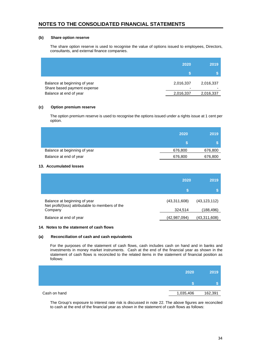## **(b) Share option reserve**

The share option reserve is used to recognise the value of options issued to employees, Directors, consultants, and external finance companies.

|                                                             | 2020           | 2019      |
|-------------------------------------------------------------|----------------|-----------|
|                                                             |                |           |
| Balance at beginning of year<br>Share based payment expense | 2,016,337<br>- | 2,016,337 |
| Balance at end of year                                      | 2,016,337      | 2,016,337 |

# **(c) Option premium reserve**

The option premium reserve is used to recognise the options issued under a rights issue at 1 cent per option.

|                              | 2020    | 2019    |
|------------------------------|---------|---------|
|                              |         |         |
| Balance at beginning of year | 676,800 | 676,800 |
| Balance at end of year       | 676,800 | 676,800 |

#### **13. Accumulated losses**

|                                                                                             | 2020                    | 2019                         |
|---------------------------------------------------------------------------------------------|-------------------------|------------------------------|
|                                                                                             | S.                      |                              |
| Balance at beginning of year<br>Net profit/(loss) attributable to members of the<br>Company | (43,311,608)<br>324,514 | (43, 123, 112)<br>(188, 496) |
| Balance at end of year                                                                      | (42,987,094)            | (43,311,608)                 |

#### **14. Notes to the statement of cash flows**

#### **(a) Reconciliation of cash and cash equivalents**

For the purposes of the statement of cash flows, cash includes cash on hand and in banks and investments in money market instruments. Cash at the end of the financial year as shown in the statement of cash flows is reconciled to the related items in the statement of financial position as follows:

|              | 2020      | 2019    |
|--------------|-----------|---------|
|              |           |         |
| Cash on hand | 1,035,406 | 162,391 |

The Group's exposure to interest rate risk is discussed in note 22. The above figures are reconciled to cash at the end of the financial year as shown in the statement of cash flows as follows: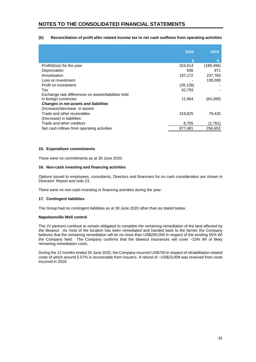# **(b) Reconciliation of profit after related income tax to net cash outflows from operating activities**

|                                                      | 2020      | 2019       |
|------------------------------------------------------|-----------|------------|
|                                                      | S         |            |
| Profit/(loss) for the year                           | 324,514   | (188, 496) |
| Depreciation                                         | 636       | 971        |
| Amortisation                                         | 197,172   | 237,783    |
| Loss on investment                                   |           | 195,000    |
| Profit on investment                                 | (28, 128) |            |
| Tax                                                  | 42,793    |            |
| Exchange rate differences on assets/liabilities held |           |            |
| in foreign currencies                                | 11,964    | (64, 269)  |
| <b>Changes in net assets and liabilities</b>         |           |            |
| (Increase)/decrease in assets:                       |           |            |
| Trade and other receivables                          | 319,825   | 78,425     |
| (Decrease) in liabilities:                           |           |            |
| Trade and other creditors                            | 8,705     | (2,761)    |
| Net cash inflows from operating activities           | 877,481   | 256.653    |

### **15. Expenditure commitments**

There were no commitments as at 30 June 2020.

#### **16. Non-cash investing and financing activities**

Options issued to employees, consultants, Directors and financiers for no cash consideration are shown in Directors' Report and note 23.

There were no non-cash investing or financing activities during the year.

#### **17. Contingent liabilities**

The Group had no contingent liabilities as at 30 June 2020 other than as stated below.

#### **Napoleonville Well control**

The JV partners continue to remain obligated to complete the remaining remediation of the land affected by the blowout. As most of the location has been remediated and handed back to the farmer the Company believes that the remaining remediation will be no more than US\$200,000 in respect of the existing 55% WI the Company held. The Company confirms that the blowout insurances will cover  $\sim$  23% WI of likely remaining remediation costs.

During the 12 months ended 30 June 2020, the Company incurred US\$700 in respect of rehabilitation related costs of which around 5.57% is recoverable from insurers. A refund of ~US\$23,009 was received from costs incurred in 2019.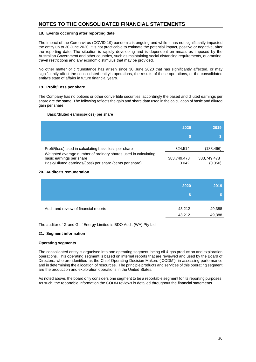#### **18. Events occurring after reporting date**

The impact of the Coronavirus (COVID-19) pandemic is ongoing and while it has not significantly impacted the entity up to 30 June 2020, it is not practicable to estimate the potential impact, positive or negative, after the reporting date. The situation is rapidly developing and is dependent on measures imposed by the Australian Government and other countries, such as maintaining social distancing requirements, quarantine, travel restrictions and any economic stimulus that may be provided.

No other matter or circumstance has arisen since 30 June 2020 that has significantly affected, or may significantly affect the consolidated entity's operations, the results of those operations, or the consolidated entity's state of affairs in future financial years.

## **19. Profit/Loss per share**

The Company has no options or other convertible securities, accordingly the based and diluted earnings per share are the same. The following reflects the gain and share data used in the calculation of basic and diluted gain per share:

#### Basic/diluted earnings/(loss) per share

|                                                                                                                                                         | 2020                 | 2019                   |
|---------------------------------------------------------------------------------------------------------------------------------------------------------|----------------------|------------------------|
| Profit/(loss) used in calculating basic loss per share                                                                                                  | 324.514              | (188,496)              |
| Weighted average number of ordinary shares used in calculating<br>basic earnings per share<br>Basic/Diluted earnings/(loss) per share (cents per share) | 383,749,478<br>0.042 | 383,749,478<br>(0.050) |

#### **20. Auditor's remuneration**

|                                       | 2020             | 2019             |
|---------------------------------------|------------------|------------------|
| Audit and review of financial reports | 43,212<br>43,212 | 49,388<br>49,388 |

The auditor of Grand Gulf Energy Limited is BDO Audit (WA) Pty Ltd.

# **21. Segment information**

#### **Operating segments**

The consolidated entity is organised into one operating segment, being oil & gas production and exploration operations. This operating segment is based on internal reports that are reviewed and used by the Board of Directors, who are identified as the Chief Operating Decision Makers ('CODM'), in assessing performance and in determining the allocation of resources. The principle products and services of this operating segment are the production and exploration operations in the United States.

As noted above, the board only considers one segment to be a reportable segment for its reporting purposes. As such, the reportable information the CODM reviews is detailed throughout the financial statements.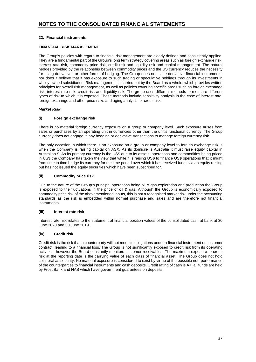# **22. Financial instruments**

# **FINANCIAL RISK MANAGEMENT**

The Group's policies with regard to financial risk management are clearly defined and consistently applied. They are a fundamental part of the Group's long term strategy covering areas such as foreign exchange risk, interest rate risk, commodity price risk, credit risk and liquidity risk and capital management. The natural hedges provided by the relationship between commodity prices and the US currency reduces the necessity for using derivatives or other forms of hedging. The Group does not issue derivative financial instruments, nor does it believe that it has exposure to such trading or speculative holdings through its investments in wholly owned subsidiaries. Risk management is carried out by the Board as a whole, which provides written principles for overall risk management, as well as policies covering specific areas such as foreign exchange risk, interest rate risk, credit risk and liquidity risk. The group uses different methods to measure different types of risk to which it is exposed. These methods include sensitivity analysis in the case of interest rate, foreign exchange and other price risks and aging analysis for credit risk.

# *Market Risk*

# **(i) Foreign exchange risk**

There is no material foreign currency exposure on a group or company level. Such exposure arises from sales or purchases by an operating unit in currencies other than the unit's functional currency. The Group currently does not engage in any hedging or derivative transactions to manage foreign currency risk.

The only occasion in which there is an exposure on a group or company level to foreign exchange risk is when the Company is raising capital on ASX. As its domicile is Australia it must raise equity capital in Australian \$. As its primary currency is the US\$ due to its assets, operations and commodities being priced in US\$ the Company has taken the view that while it is raising US\$ to finance US\$ operations that it might from time to time hedge its currency for the time period over which it has received funds via an equity raising but has not issued the equity securities which have been subscribed for.

# **(ii) Commodity price risk**

Due to the nature of the Group's principal operations being oil & gas exploration and production the Group is exposed to the fluctuations in the price of oil & gas. Although the Group is economically exposed to commodity price risk of the abovementioned inputs, this is not a recognised market risk under the accounting standards as the risk is embedded within normal purchase and sales and are therefore not financial instruments.

# **(iii) Interest rate risk**

Interest rate risk relates to the statement of financial position values of the consolidated cash at bank at 30 June 2020 and 30 June 2019.

# **(iv) Credit risk**

Credit risk is the risk that a counterparty will not meet its obligations under a financial instrument or customer contract, leading to a financial loss. The Group is not significantly exposed to credit risk from its operating activities, however the Board constantly monitors customer receivables. The maximum exposure to credit risk at the reporting date is the carrying value of each class of financial asset. The Group does not hold collateral as security. No material exposure is considered to exist by virtue of the possible non-performance of the counterparties to financial instruments and cash deposits. Credit rating of cash is A+; all funds are held by Frost Bank and NAB which have government guarantees on deposits.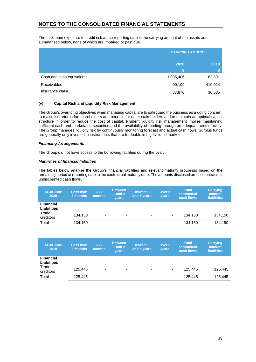The maximum exposure to credit risk at the reporting date is the carrying amount of the assets as summarised below, none of which are impaired or past due.

|                           | <b>CARRYING AMOUNT</b> |         |  |
|---------------------------|------------------------|---------|--|
|                           | 2020                   | 2019    |  |
|                           | m                      | \$      |  |
| Cash and cash equivalents | 1,035,406              | 162,391 |  |
| <b>Receivables</b>        | 99,199                 | 419,024 |  |
| Insurance claim           | 37,876                 | 36,535  |  |

# **(v) Capital Risk and Liquidity Risk Management**

The Group's overriding objectives when managing capital are to safeguard the business as a going concern; to maximise returns for shareholders and benefits for other stakeholders and to maintain an optimal capital structure in order to reduce the cost of capital. Prudent liquidity risk management implies maintaining sufficient cash and marketable securities and the availability of funding through an adequate credit facility. The Group manages liquidity risk by continuously monitoring forecast and actual cash flows. Surplus funds are generally only invested in instruments that are tradeable in highly liquid markets.

#### *Financing Arrangements*

The Group did not have access to the borrowing facilities during the year.

#### *Maturities of financial liabilities*

The tables below analyse the Group's financial liabilities and relevant maturity groupings based on the remaining period at reporting date to the contractual maturity date. The amounts disclosed are the contractual undiscounted cash flows.

| At 30 June<br>2020                              | <b>Less than</b><br>6 months | $6 - 12$<br>months       | <b>Between</b><br>1 and 2<br><b>vears</b> | <b>Between 2</b><br>and 5 years | Over 5<br><b>vears</b> | <b>Total</b><br>contractual<br>cash flows | <b>Carrying</b><br>amount<br><b>liabilities</b> |
|-------------------------------------------------|------------------------------|--------------------------|-------------------------------------------|---------------------------------|------------------------|-------------------------------------------|-------------------------------------------------|
| <b>Financial</b><br><b>Liabilities</b><br>Trade | 134.150                      | ٠                        | ٠                                         | ۰                               | ٠                      | 134.150                                   | 134.150                                         |
| creditors<br>Total                              | 134,150                      | $\overline{\phantom{0}}$ | ٠                                         | -                               | ٠                      | 134,150                                   | 134,150                                         |

| At 30 June<br>2019                                           | <b>Less than</b><br>6 months | $6 - 12$<br>months       | <b>Between</b><br>1 and $2$<br><b>vears</b> | <b>Between 2</b><br>and 5 years | Over 5<br>years | <b>Total</b><br>contractual<br>cash flows | <b>Carrying</b><br>amount<br><b>liabilities</b> |
|--------------------------------------------------------------|------------------------------|--------------------------|---------------------------------------------|---------------------------------|-----------------|-------------------------------------------|-------------------------------------------------|
| <b>Financial</b><br><b>Liabilities</b><br>Trade<br>creditors | 125.445                      | -                        | ۰                                           | $\overline{\phantom{0}}$        | ٠               | 125.445                                   | 125.445                                         |
| Total                                                        | 125.445                      | $\overline{\phantom{0}}$ | ۰                                           | $\overline{\phantom{0}}$        | ۰               | 125.445                                   | 125.445                                         |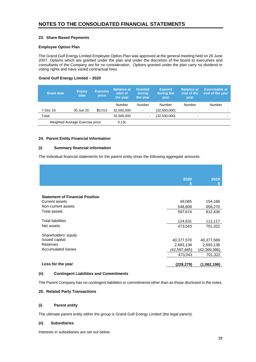# **23. Share Based Payments**

# **Employee Option Plan**

The Grand Gulf Energy Limited Employee Option Plan was approved at the general meeting held on 26 June 2007. Options which are granted under the plan and under the discretion of the board to executives and consultants of the Company are for no consideration. Options granted under the plan carry no dividend or voting rights and have varied contractual lives.

# **Grand Gulf Energy Limited – 2020**

| <b>Grant date</b> | <b>Expiry</b><br>date           | <b>Exercise</b><br>price | <b>Balance at</b><br>start of<br>the year | <b>Granted</b><br>during<br>the year | <b>Expired</b><br>during the<br>year | <b>Balance at</b><br>end of the<br>year | <b>Exercisable at</b><br>end of the year |
|-------------------|---------------------------------|--------------------------|-------------------------------------------|--------------------------------------|--------------------------------------|-----------------------------------------|------------------------------------------|
|                   |                                 |                          | Number                                    | Number                               | Number                               | Number                                  | Number                                   |
| 7 Dec 16          | 30 Jun 20                       | \$0.013                  | 32,500,000                                | $\overline{\phantom{a}}$             | (32,500,000)                         | -                                       | -                                        |
| Total             |                                 |                          | 32,500,000                                | $\overline{\phantom{0}}$             | (32,500,000)                         | -                                       |                                          |
|                   | Weighted Average Exercise price |                          | 0.13c                                     |                                      |                                      |                                         |                                          |

# **24. Parent Entity Financial Information**

# **(i) Summary financial information**

The individual financial statements for the parent entity show the following aggregate amounts:

|                                        | 2020<br>m    | 2019         |
|----------------------------------------|--------------|--------------|
|                                        |              |              |
| <b>Statement of Financial Position</b> |              |              |
| <b>Current assets</b>                  | 49,065       | 154,166      |
| Non-current assets                     | 548,609      | 658,270      |
| Total assets                           | 597,674      | 812,436      |
|                                        |              |              |
| <b>Total liabilities</b>               | 124,631      | 111,117      |
| Net assets                             | 473,043      | 701,322      |
|                                        |              |              |
| Shareholders' equity                   |              |              |
| <b>Issued capital</b>                  | 40,377,570   | 40,377,569   |
| Reserves                               | 2,693,138    | 2,693,138    |
| <b>Accumulated losses</b>              | (42,597,665) | (42,369,386) |
|                                        | 473,043      | 701,322      |
|                                        |              |              |
| Loss for the year                      | (228,279)    | (1,062,196)  |

# **(ii) Contingent Liabilities and Commitments**

The Parent Company has no contingent liabilities or commitments other than as those disclosed in the notes.

# **25. Related Party Transactions**

# **(i) Parent entity**

The ultimate parent entity within the group is Grand Gulf Energy Limited (the legal parent).

# **(ii) Subsidiaries**

Interests in subsidiaries are set out below.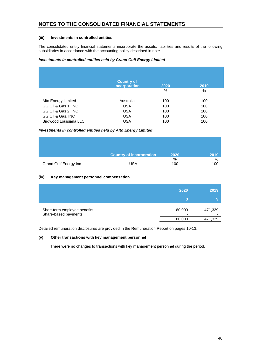## **(iii) Investments in controlled entities**

The consolidated entity financial statements incorporate the assets, liabilities and results of the following subsidiaries in accordance with the accounting policy described in note 1.

## *Investments in controlled entities held by Grand Gulf Energy Limited*

|                        | <b>Country of</b><br>incorporation | 2020 | 2019 |
|------------------------|------------------------------------|------|------|
|                        |                                    | %    | $\%$ |
| Alto Energy Limited    | Australia                          | 100  | 100  |
| GG Oil & Gas 1, INC    | <b>USA</b>                         | 100  | 100  |
| GG Oil & Gas 2, INC    | <b>USA</b>                         | 100  | 100  |
| GG Oil & Gas, INC      | <b>USA</b>                         | 100  | 100  |
| Birdwood Louisiana LLC | <b>USA</b>                         | 100  | 100  |

#### *Investments in controlled entities held by Alto Energy Limited*

|                              | Country of incorporation | 2020     | 2019     |
|------------------------------|--------------------------|----------|----------|
| <b>Grand Gulf Energy Inc</b> | <b>USA</b>               | %<br>100 | %<br>100 |

## **(iv) Key management personnel compensation**

|                                                      | 2020                    | 2019                    |
|------------------------------------------------------|-------------------------|-------------------------|
|                                                      |                         |                         |
| Short-term employee benefits<br>Share-based payments | 180,000<br>-<br>180,000 | 471,339<br>۰<br>471,339 |

Detailed remuneration disclosures are provided in the Remuneration Report on pages 10-13.

# **(v) Other transactions with key management personnel**

There were no changes to transactions with key management personnel during the period.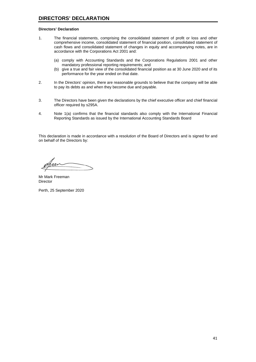#### **Directors' Declaration**

- 1. The financial statements, comprising the consolidated statement of profit or loss and other comprehensive income, consolidated statement of financial position, consolidated statement of cash flows and consolidated statement of changes in equity and accompanying notes, are in accordance with the Corporations Act 2001 and:
	- (a) comply with Accounting Standards and the Corporations Regulations 2001 and other mandatory professional reporting requirements; and
	- (b) give a true and fair view of the consolidated financial position as at 30 June 2020 and of its performance for the year ended on that date.
- 2. In the Directors' opinion, there are reasonable grounds to believe that the company will be able to pay its debts as and when they become due and payable.
- 3. The Directors have been given the declarations by the chief executive officer and chief financial officer required by s295A.
- 4. Note 1(a) confirms that the financial standards also comply with the International Financial Reporting Standards as issued by the International Accounting Standards Board

This declaration is made in accordance with a resolution of the Board of Directors and is signed for and on behalf of the Directors by:

Mr Mark Freeman Director

Perth, 25 September 2020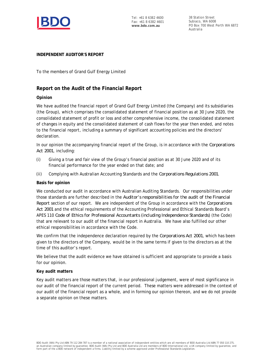

Tel: +61 8 6382 4600 Fax: +61 8 6382 4601 **www.bdo.com.au**

38 Station Street Subiaco, WA 6008 PO Box 700 West Perth WA 6872 Australia

# **INDEPENDENT AUDITOR'S REPORT**

To the members of Grand Gulf Energy Limited

# **Report on the Audit of the Financial Report**

# **Opinion**

We have audited the financial report of Grand Gulf Energy Limited (the Company) and its subsidiaries (the Group), which comprises the consolidated statement of financial position as at 30 June 2020, the consolidated statement of profit or loss and other comprehensive income, the consolidated statement of changes in equity and the consolidated statement of cash flows for the year then ended, and notes to the financial report, including a summary of significant accounting policies and the directors' declaration.

In our opinion the accompanying financial report of the Group, is in accordance with the *Corporations Act 2001*, including:

- (i) Giving a true and fair view of the Group's financial position as at 30 June 2020 and of its financial performance for the year ended on that date; and
- (ii) Complying with Australian Accounting Standards and the *Corporations Regulations 2001*.

# **Basis for opinion**

We conducted our audit in accordance with Australian Auditing Standards. Our responsibilities under those standards are further described in the *Auditor's responsibilities for the audit of the Financial Report* section of our report. We are independent of the Group in accordance with the *Corporations Act 2001* and the ethical requirements of the Accounting Professional and Ethical Standards Board's APES 110 *Code of Ethics for Professional Accountants (including Independence Standards)* (the Code) that are relevant to our audit of the financial report in Australia. We have also fulfilled our other ethical responsibilities in accordance with the Code.

We confirm that the independence declaration required by the *Corporations Act 2001*, which has been given to the directors of the Company, would be in the same terms if given to the directors as at the time of this auditor's report.

We believe that the audit evidence we have obtained is sufficient and appropriate to provide a basis for our opinion.

# **Key audit matters**

Key audit matters are those matters that, in our professional judgement, were of most significance in our audit of the financial report of the current period. These matters were addressed in the context of our audit of the financial report as a whole, and in forming our opinion thereon, and we do not provide a separate opinion on these matters.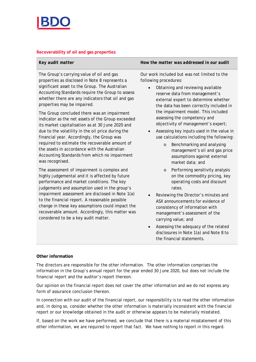

# **Recoverability of oil and gas properties**

| Key audit matter | How the matter was addressed in our audit |
|------------------|-------------------------------------------|

The Group's carrying value of oil and gas properties as disclosed in Note 8 represents a significant asset to the Group. The Australian Accounting Standards require the Group to assess whether there are any indicators that oil and gas properties may be impaired.

The Group concluded there was an impairment indicator as the net assets of the Group exceeded its market capitalisation as at 30 June 2020 and due to the volatility in the oil price during the financial year. Accordingly, the Group was required to estimate the recoverable amount of the assets in accordance with the Australian Accounting Standards from which no impairment was recognised.

The assessment of impairment is complex and highly judgemental and it is affected by future performance and market conditions. The key judgements and assumption used in the group's impairment assessment are disclosed in Note 1(a) to the financial report. A reasonable possible change in these key assumptions could impact the recoverable amount. Accordingly, this matter was considered to be a key audit matter.

Our work included but was not limited to the following procedures:

- · Obtaining and reviewing available reserve data from management's external expert to determine whether the data has been correctly included in the impairment model. This included assessing the competency and objectivity of management's expert;
- · Assessing key inputs used in the value in use calculations including the following:
	- o Benchmarking and analysing management's oil and gas price assumptions against external market data; and
	- o Performing sensitivity analysis on the commodity pricing, key operating costs and discount rates.
- · Reviewing the Director's minutes and ASX announcements for evidence of consistency of information with management's assessment of the carrying value; and
- Assessing the adequacy of the related disclosures in Note 1(a) and Note 8 to the financial statements.

# **Other information**

The directors are responsible for the other information. The other information comprises the information in the Group's annual report for the year ended 30 June 2020, but does not include the financial report and the auditor's report thereon.

Our opinion on the financial report does not cover the other information and we do not express any form of assurance conclusion thereon.

In connection with our audit of the financial report, our responsibility is to read the other information and, in doing so, consider whether the other information is materially inconsistent with the financial report or our knowledge obtained in the audit or otherwise appears to be materially misstated.

If, based on the work we have performed, we conclude that there is a material misstatement of this other information, we are required to report that fact. We have nothing to report in this regard.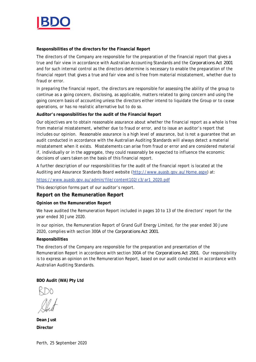

**Responsibilities of the directors for the Financial Report**

The directors of the Company are responsible for the preparation of the financial report that gives a true and fair view in accordance with Australian Accounting Standards and the *Corporations Act 2001* and for such internal control as the directors determine is necessary to enable the preparation of the financial report that gives a true and fair view and is free from material misstatement, whether due to fraud or error.

In preparing the financial report, the directors are responsible for assessing the ability of the group to continue as a going concern, disclosing, as applicable, matters related to going concern and using the going concern basis of accounting unless the directors either intend to liquidate the Group or to cease operations, or has no realistic alternative but to do so.

**Auditor's responsibilities for the audit of the Financial Report**

Our objectives are to obtain reasonable assurance about whether the financial report as a whole is free from material misstatement, whether due to fraud or error, and to issue an auditor's report that includes our opinion. Reasonable assurance is a high level of assurance, but is not a guarantee that an audit conducted in accordance with the Australian Auditing Standards will always detect a material misstatement when it exists. Misstatements can arise from fraud or error and are considered material if, individually or in the aggregate, they could reasonably be expected to influence the economic decisions of users taken on the basis of this financial report.

A further description of our responsibilities for the audit of the financial report is located at the Auditing and Assurance Standards Board website (http://www.auasb.gov.au/Home.aspx) at:

https://www.auasb.gov.au/admin/file/content102/c3/ar1\_2020.pdf

This description forms part of our auditor's report.

**Report on the Remuneration Report**

**Opinion on the Remuneration Report**

We have audited the Remuneration Report included in pages 10 to 13 of the directors' report for the year ended 30 June 2020.

In our opinion, the Remuneration Report of Grand Gulf Energy Limited, for the year ended 30 June 2020, complies with section 300A of the *Corporations Act 2001*.

# **Responsibilities**

The directors of the Company are responsible for the preparation and presentation of the Remuneration Report in accordance with section 300A of the *Corporations Act 2001*. Our responsibility is to express an opinion on the Remuneration Report, based on our audit conducted in accordance with Australian Auditing Standards.

**BDO Audit (WA) Pty Ltd**

**Dean Just Director**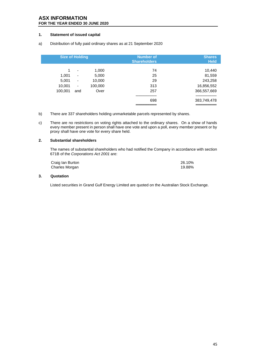# **ASX INFORMATION FOR THE YEAR ENDED 30 JUNE 2020**

# **1. Statement of issued capital**

a) Distribution of fully paid ordinary shares as at 21 September 2020

|                                          | <b>Size of Holding</b>                                                                       |                                             | <b>Number of</b><br><b>Shareholders</b> | <b>Shares</b><br><b>Held</b>                                            |
|------------------------------------------|----------------------------------------------------------------------------------------------|---------------------------------------------|-----------------------------------------|-------------------------------------------------------------------------|
| 1<br>1,001<br>5,001<br>10,001<br>100,001 | ٠<br>$\overline{\phantom{a}}$<br>$\overline{\phantom{a}}$<br>$\overline{\phantom{a}}$<br>and | 1,000<br>5,000<br>10,000<br>100,000<br>Over | 74<br>25<br>29<br>313<br>257<br>698     | 10,440<br>81,559<br>243,258<br>16,856,552<br>366,557,669<br>383,749,478 |
|                                          |                                                                                              |                                             |                                         |                                                                         |

- b) There are 337 shareholders holding unmarketable parcels represented by shares.
- c) There are no restrictions on voting rights attached to the ordinary shares. On a show of hands every member present in person shall have one vote and upon a poll, every member present or by proxy shall have one vote for every share held.

#### **2. Substantial shareholders**

The names of substantial shareholders who had notified the Company in accordance with section 671B of the *Corporations Act 2001* are:

| Craig Ian Burton | 26.10% |
|------------------|--------|
| Charles Morgan   | 19.88% |

#### **3. Quotation**

Listed securities in Grand Gulf Energy Limited are quoted on the Australian Stock Exchange.